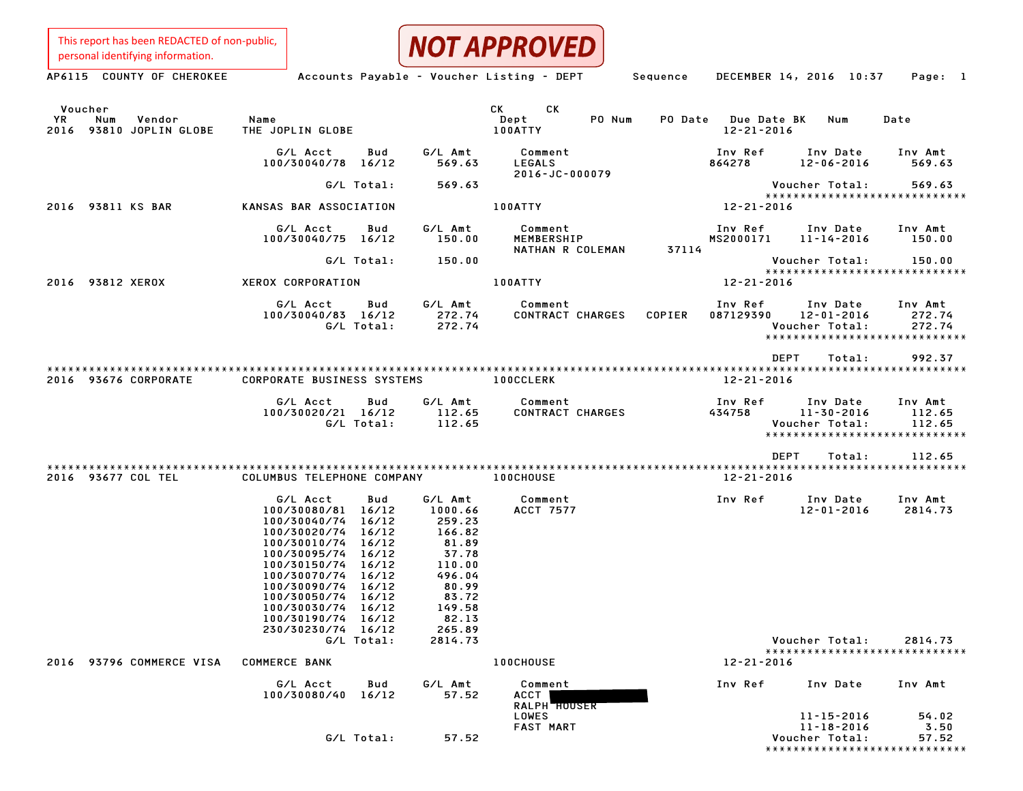This report has been REDACTED of non-public, personal identifying information.



| Voucher<br>YR<br>Vendor<br>Num<br>2016 93810 JOPLIN GLOBE | Name<br>THE JOPLIN GLOBE                                                                                                                                                                                                                                                                                       |                                                                                                                                       | CK CK<br>PO Num<br>Dept<br>100ATTY        | PO Date Due Date BK<br>$12 - 21 - 2016$ | Num                                                                               | Date                        |
|-----------------------------------------------------------|----------------------------------------------------------------------------------------------------------------------------------------------------------------------------------------------------------------------------------------------------------------------------------------------------------------|---------------------------------------------------------------------------------------------------------------------------------------|-------------------------------------------|-----------------------------------------|-----------------------------------------------------------------------------------|-----------------------------|
|                                                           | G/L Acct<br>Bud<br>100/30040/78 16/12                                                                                                                                                                                                                                                                          | G/L Amt<br>569.63                                                                                                                     | Comment<br>LEGALS<br>2016-JC-000079       | Inv Ref<br>864278                       | Inv Date<br>$12 - 06 - 2016$                                                      | Inv Amt<br>569.63           |
|                                                           | G/L Total:                                                                                                                                                                                                                                                                                                     | 569.63                                                                                                                                |                                           |                                         | Voucher Total:                                                                    | 569.63                      |
| 2016 93811 KS BAR                                         | KANSAS BAR ASSOCIATION                                                                                                                                                                                                                                                                                         |                                                                                                                                       | <b>100ATTY</b>                            | 12-21-2016                              | *****************************                                                     |                             |
|                                                           | G/L Acct<br>Bud<br>100/30040/75 16/12                                                                                                                                                                                                                                                                          | G/L Amt<br>150.00                                                                                                                     | Comment<br>MEMBERSHIP<br>NATHAN R COLEMAN | Inv Ref<br>MS2000171<br>37114           | Inv Date<br>$11 - 14 - 2016$                                                      | Inv Amt<br>150.00           |
|                                                           | G/L Total:                                                                                                                                                                                                                                                                                                     | 150.00                                                                                                                                |                                           |                                         | Voucher Total:                                                                    | 150.00                      |
| 2016 93812 XEROX                                          | XEROX CORPORATION                                                                                                                                                                                                                                                                                              |                                                                                                                                       | 100ATTY                                   | 12-21-2016                              | *****************************                                                     |                             |
|                                                           | G/L Acct<br>Bud<br>100/30040/83 16/12<br>G/L Total:                                                                                                                                                                                                                                                            | G/L Amt<br>272.74<br>272.74                                                                                                           | Comment<br><b>CONTRACT CHARGES</b>        | Inv Ref<br>COPIER<br>087129390          | Inv Date<br>12-01-2016<br>Voucher Total:<br>******************************        | Inv Amt<br>272.74<br>272.74 |
|                                                           |                                                                                                                                                                                                                                                                                                                |                                                                                                                                       |                                           |                                         | DEPT<br>Total:                                                                    | 992.37                      |
| 2016 93676 CORPORATE                                      | <b>CORPORATE BUSINESS SYSTEMS</b>                                                                                                                                                                                                                                                                              |                                                                                                                                       | 100CCLERK                                 | 12-21-2016                              |                                                                                   |                             |
|                                                           | G/L Acct<br>Bud<br>100/30020/21 16/12<br>G/L Total:                                                                                                                                                                                                                                                            | G/L Amt<br>112.65<br>112.65                                                                                                           | Comment<br>CONTRACT CHARGES               | Inv Ref<br>434758                       | Inv Date<br>$11 - 30 - 2016$<br>Voucher Total:<br>*****************************   | Inv Amt<br>112.65<br>112.65 |
|                                                           |                                                                                                                                                                                                                                                                                                                |                                                                                                                                       |                                           |                                         | DEPT<br>Total:                                                                    | 112.65                      |
| 2016 93677 COL TEL                                        | COLUMBUS TELEPHONE COMPANY 100CHOUSE                                                                                                                                                                                                                                                                           |                                                                                                                                       |                                           | 12-21-2016                              |                                                                                   |                             |
|                                                           | G/L Acct<br>Bud<br>100/30080/81 16/12<br>100/30040/74<br>16/12<br>16/12<br>100/30020/74<br>100/30010/74<br>16/12<br>100/30095/74<br>16/12<br>100/30150/74<br>16/12<br>100/30070/74<br>16/12<br>100/30090/74<br>16/12<br>$100/30050/74$ 16/12<br>100/30030/74 16/12<br>100/30190/74 16/12<br>230/30230/74 16/12 | G/L Amt<br>1000.66<br>$259.23$<br>$166.82$<br>$81.89$<br>$37.78$<br>$110.00$<br>496.04<br>80.99<br>83.72<br>149.58<br>82.13<br>265.89 | Comment<br>ACCT 7577                      | Inv Ref                                 | Inv Date<br>12-01-2016                                                            | Inv Amt<br>2814.73          |
| 2016 93796 COMMERCE VISA                                  | G/L Total:<br><b>COMMERCE BANK</b>                                                                                                                                                                                                                                                                             | 2814.73                                                                                                                               | <b>100CHOUSE</b>                          | 12-21-2016                              | Voucher Total:<br>******************************                                  | 2814.73                     |
|                                                           |                                                                                                                                                                                                                                                                                                                |                                                                                                                                       |                                           |                                         |                                                                                   |                             |
|                                                           | G/L Acct<br>Bud<br>100/30080/40 16/12                                                                                                                                                                                                                                                                          | G/L Amt<br>57.52                                                                                                                      | Comment<br>ACCT I<br><b>RALPH HOUSER</b>  | Inv Ref                                 | Inv Date                                                                          | Inv Amt                     |
|                                                           | G/L Total:                                                                                                                                                                                                                                                                                                     | 57.52                                                                                                                                 | <b>LOWES</b><br><b>FAST MART</b>          |                                         | 11-15-2016<br>$11 - 18 - 2016$<br>Voucher Total:<br>***************************** | 54.02<br>3.50<br>57.52      |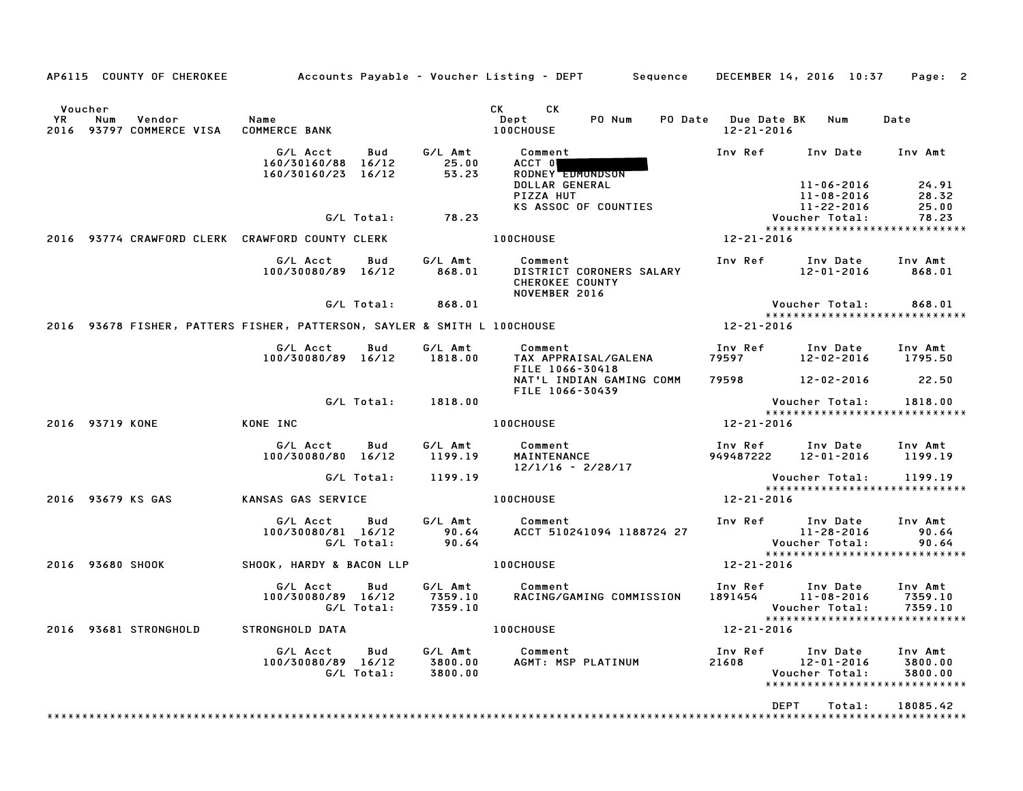|                      |                  |                                                                                                                                                                |                                                                          |                   |                               | AP6115 COUNTY OF CHEROKEE Accounts Payable - Voucher Listing - DEPT Sequence DECEMBER 14, 2016 10:37 Page: 2                                                                                                                                                               |                  |                                                                                                         |                                  |
|----------------------|------------------|----------------------------------------------------------------------------------------------------------------------------------------------------------------|--------------------------------------------------------------------------|-------------------|-------------------------------|----------------------------------------------------------------------------------------------------------------------------------------------------------------------------------------------------------------------------------------------------------------------------|------------------|---------------------------------------------------------------------------------------------------------|----------------------------------|
| Voucher<br><b>YR</b> | Num              | Vendor<br><b>Subset Street Street Street Street Street Street Street Street Street Street Street Street Street S</b><br>2016 93797 COMMERCE VISA COMMERCE BANK |                                                                          |                   |                               | CK<br>CK the control of the control of the control of the control of the control of the control of the control of the control of the control of the control of the control of the control of the control of the control of the contr<br>PO Num<br>Dept<br><b>100CHOUSE</b> | $12 - 21 - 2016$ | PO Date Due Date BK Num                                                                                 | Date                             |
|                      |                  |                                                                                                                                                                | G/L Acct<br>160/30160/88 16/12<br>160/30160/23 16/12                     | Bud               | G/L Amt<br>25.00<br>53.23     | Comment<br>ACCT 0<br>RODNEY EDMONDSON<br>DOLLAR GENERAL                                                                                                                                                                                                                    | Inv Ref          | Inv Date Inv Amt<br>11-06-2016                                                                          |                                  |
|                      |                  |                                                                                                                                                                |                                                                          | G/L Total:        | 78.23                         | PIZZA HUT<br>KS ASSOC OF COUNTIES                                                                                                                                                                                                                                          |                  | 11-08-2016<br>II-LL<br>Voucher Total:<br>Voucher Total:                                                 | 24.91<br>28.32<br>25.00<br>78.23 |
|                      |                  |                                                                                                                                                                | 2016 93774 CRAWFORD CLERK CRAWFORD COUNTY CLERK                          |                   |                               | <b>100CHOUSE</b>                                                                                                                                                                                                                                                           | 12-21-2016       | *****************************                                                                           |                                  |
|                      |                  |                                                                                                                                                                | G/L Acct<br>100/30080/89 16/12                                           | Bud               | G/L Amt<br>868.01             | Comment<br>DISTRICT CORONERS SALARY<br><b>CHEROKEE COUNTY</b><br>NOVEMBER 2016                                                                                                                                                                                             |                  | Inv Ref      Inv Date<br>12-01-2016                                                                     | Inv Amt<br>868.01                |
|                      |                  |                                                                                                                                                                |                                                                          | G/L Total:        | 868.01                        |                                                                                                                                                                                                                                                                            |                  | Voucher Total:<br>*****************************                                                         | 868.01                           |
|                      |                  |                                                                                                                                                                | 2016 93678 FISHER, PATTERS FISHER, PATTERSON, SAYLER & SMITH L 100CHOUSE |                   |                               |                                                                                                                                                                                                                                                                            | $12 - 21 - 2016$ |                                                                                                         |                                  |
|                      |                  |                                                                                                                                                                | G/L Acct<br>100/30080/89 16/12                                           | Bud               | G/L Amt<br>1818.00            | <b>Comment</b> Comment<br>TAX APPRAISAL/GALENA<br>FILE 1066-30418                                                                                                                                                                                                          |                  |                                                                                                         | Inv Amt<br>1795.50               |
|                      |                  |                                                                                                                                                                |                                                                          |                   |                               | NAT'L INDIAN GAMING COMM<br>FILE 1066-30439                                                                                                                                                                                                                                |                  | 79598 12-02-2016 22.50                                                                                  |                                  |
|                      |                  |                                                                                                                                                                |                                                                          |                   | G/L Total: 1818.00            |                                                                                                                                                                                                                                                                            |                  | Voucher Total: 1818.00<br>*****************************                                                 |                                  |
|                      | 2016 93719 KONE  |                                                                                                                                                                | KONE INC                                                                 |                   |                               | <b>100CHOUSE</b>                                                                                                                                                                                                                                                           | 12-21-2016       |                                                                                                         |                                  |
|                      |                  |                                                                                                                                                                | G/L Acct   Bud<br>100/30080/80 16/12                                     |                   | G/L Amt<br>1199.19            | Comment<br>MAINTENANCE<br>12/1/16 - 2/28/17                                                                                                                                                                                                                                |                  | Inv Ref      Inv Date<br>949487222 12-01-2016 1199.19                                                   | Inv Amt                          |
|                      |                  |                                                                                                                                                                |                                                                          | G/L Total:        | 1199.19                       |                                                                                                                                                                                                                                                                            |                  | Voucher Total:       1199.19<br>*****************************                                           |                                  |
|                      |                  | 2016 93679 KS GAS                                                                                                                                              | KANSAS GAS SERVICE                                                       |                   |                               | <b>100CHOUSE</b>                                                                                                                                                                                                                                                           | 12-21-2016       |                                                                                                         |                                  |
|                      |                  |                                                                                                                                                                | G/L Acct<br>100/30080/81 16/12                                           | Bud<br>G/L Total: | 90.64<br>90.64                | G/L Amt Comment<br>ACCT 510241094 1188724 27                                                                                                                                                                                                                               |                  | Inv Ref Inv Date<br>1 1<br>11-28-2016<br>Voucher Total:                                                 | Inv Amt<br>90.64<br>90.64        |
|                      | 2016 93680 SHOOK |                                                                                                                                                                | SHOOK, HARDY & BACON LLP 100CHOUSE                                       |                   |                               |                                                                                                                                                                                                                                                                            | 12-21-2016       |                                                                                                         |                                  |
|                      |                  |                                                                                                                                                                | G/L Acct<br>100/30080/89 16/12                                           | Bud<br>G/L Total: | 7359.10<br>7359.10            | G/L Amt Comment<br>RACING/GAMING COMMISSION                                                                                                                                                                                                                                |                  | Inv Ref      Inv Date<br>1891454         11–08–2016<br>Voucher Total:<br>****************************** | Inv Amt<br>7359.10<br>7359.10    |
|                      |                  |                                                                                                                                                                | 2016 93681 STRONGHOLD STRONGHOLD DATA                                    |                   |                               | <b>100CHOUSE</b>                                                                                                                                                                                                                                                           | 12-21-2016       |                                                                                                         |                                  |
|                      |                  |                                                                                                                                                                | G/L Acct<br>100/30080/89 16/12                                           | Bud<br>G/L Total: | G/L Amt<br>3800.00<br>3800.00 | Comment<br>AGMT: MSP PLATINUM                                                                                                                                                                                                                                              | Inv Ref<br>21608 | Inv Date<br>12-01-2016<br>Voucher Total:<br>******************************                              | Inv Amt<br>3800.00<br>3800.00    |
|                      |                  |                                                                                                                                                                |                                                                          |                   |                               |                                                                                                                                                                                                                                                                            |                  | <b>DEPT</b><br>Total:                                                                                   | 18085.42                         |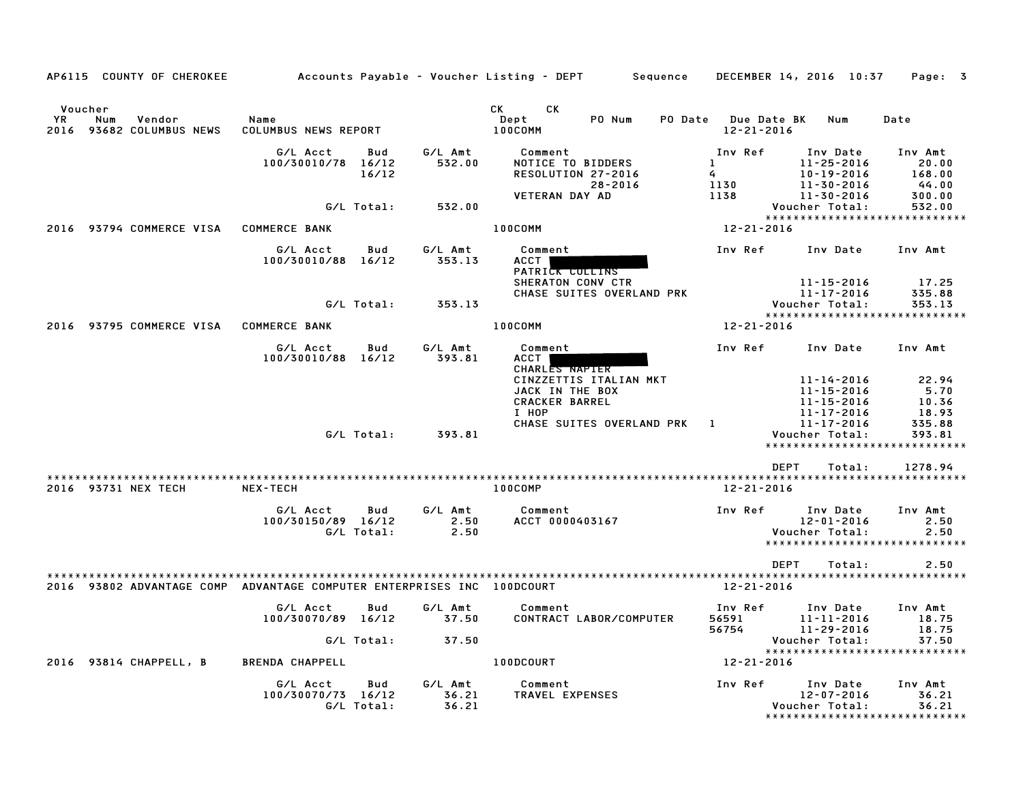| AP6115 COUNTY OF CHEROKEE                                              |                                |                   |                           | Accounts Payable – Voucher Listing – DEPT         Sequence           | DECEMBER 14, 2016 10:37                   |                                                                        | Page: 3                                                    |
|------------------------------------------------------------------------|--------------------------------|-------------------|---------------------------|----------------------------------------------------------------------|-------------------------------------------|------------------------------------------------------------------------|------------------------------------------------------------|
| Voucher<br>YR.<br>Num<br>Vendor<br>93682 COLUMBUS NEWS<br>2016         | Name<br>COLUMBUS NEWS REPORT   |                   |                           | CK C<br>CK<br>PO Num<br>Dept<br>100COMM                              | PO Date Due Date BK<br>$12 - 21 - 2016$   | Num                                                                    | Date                                                       |
|                                                                        | G/L Acct<br>100/30010/78 16/12 | Bud<br>16/12      | G/L Amt<br>532.00         | Comment<br>NOTICE TO BIDDERS<br>RESOLUTION 27-2016<br>28-2016        | Inv Ref<br>$\mathbf{1}$<br>$\sim$<br>1130 | Inv Date<br>$11 - 25 - 2016$<br>$10 - 19 - 2016$<br>11-30-2016         | Inv Amt<br>20.00<br>168.00<br>44.00                        |
|                                                                        |                                | G/L Total:        | 532.00                    | <b>VETERAN DAY AD</b>                                                | 1138                                      | 11-30-2016<br>Voucher Total:                                           | 300.00<br>532.00<br>*****************************          |
| 2016 93794 COMMERCE VISA                                               | <b>COMMERCE BANK</b>           |                   |                           | 100COMM                                                              | 12-21-2016                                |                                                                        |                                                            |
|                                                                        | G/L Acct<br>100/30010/88 16/12 | Bud               | G/L Amt<br>353.13         | Comment<br><b>ACCT</b><br>PATRICK COLLINS                            | Inv Ref                                   | Inv Date                                                               | Inv Amt                                                    |
|                                                                        |                                | G/L Total:        | 353.13                    | SHERATON CONV CTR<br>CHASE SUITES OVERLAND PRK                       |                                           | 11-15-2016<br>11-17-2016<br>Voucher Total:                             | 17.25<br>335.88<br>353.13<br>***************************** |
| 2016 93795 COMMERCE VISA COMMERCE BANK                                 |                                |                   |                           | 100COMM                                                              | 12-21-2016                                |                                                                        |                                                            |
|                                                                        | G/L Acct<br>100/30010/88 16/12 | Bud               | G/L Amt<br>393.81         | Comment<br>ACCT  <br>CHARLES NAPIER                                  | Inv Ref                                   | Inv Date                                                               | Inv Amt                                                    |
|                                                                        |                                |                   |                           | CINZZETTIS ITALIAN MKT<br>JACK IN THE BOX<br>CRACKER BARREL<br>I HOP |                                           | 11-14-2016<br>$11 - 15 - 2016$<br>$11 - 15 - 2016$<br>$11 - 17 - 2016$ | 22.94<br>5.70<br>10.36<br>18.93                            |
|                                                                        |                                | G/L Total:        | 393.81                    | CHASE SUITES OVERLAND PRK                                            | $\mathbf{1}$                              | 11-17-2016<br>Voucher Total:                                           | 335.88<br>393.81<br>*****************************          |
|                                                                        |                                |                   |                           |                                                                      | <b>DEPT</b>                               | Total:                                                                 | 1278.94                                                    |
| 2016 93731 NEX TECH                                                    | <b>NEX-TECH</b>                |                   |                           | <b>100COMP</b>                                                       | 12-21-2016                                |                                                                        |                                                            |
|                                                                        | G/L Acct<br>100/30150/89 16/12 | Bud<br>G/L Total: | G/L Amt<br>2.50<br>2.50   | Comment<br>ACCT 0000403167                                           | Inv Ref                                   | Inv Date<br>$12 - 01 - 2016$<br>Voucher Total:                         | Inv Amt<br>2.50<br>2.50<br>*****************************   |
|                                                                        |                                |                   |                           |                                                                      | <b>DEPT</b>                               | Total:                                                                 | 2.50                                                       |
| 2016 93802 ADVANTAGE COMP ADVANTAGE COMPUTER ENTERPRISES INC 100DCOURT |                                |                   |                           |                                                                      | 12-21-2016                                |                                                                        |                                                            |
|                                                                        | G/L Acct<br>100/30070/89 16/12 | Bud               | G/L Amt<br>37.50          | Comment<br>CONTRACT LABOR/COMPUTER                                   | Inv Ref<br>56591<br>56754                 | Inv Date<br>$11 - 11 - 2016$<br>11-29-2016                             | Inv Amt<br>18.75<br>18.75                                  |
|                                                                        |                                | G/L Total:        | 37.50                     |                                                                      |                                           | Voucher Total:                                                         | 37.50<br>*****************************                     |
| 93814 CHAPPELL, B<br>2016                                              | <b>BRENDA CHAPPELL</b>         |                   |                           | 100DCOURT                                                            | 12-21-2016                                |                                                                        |                                                            |
|                                                                        | G/L Acct<br>100/30070/73 16/12 | Bud<br>G/L Total: | G/L Amt<br>36.21<br>36.21 | Comment<br>TRAVEL EXPENSES                                           | Inv Ref                                   | Inv Date<br>$12 - 07 - 2016$<br>Voucher Total:                         | Inv Amt<br>36.21<br>36.21<br>***************************** |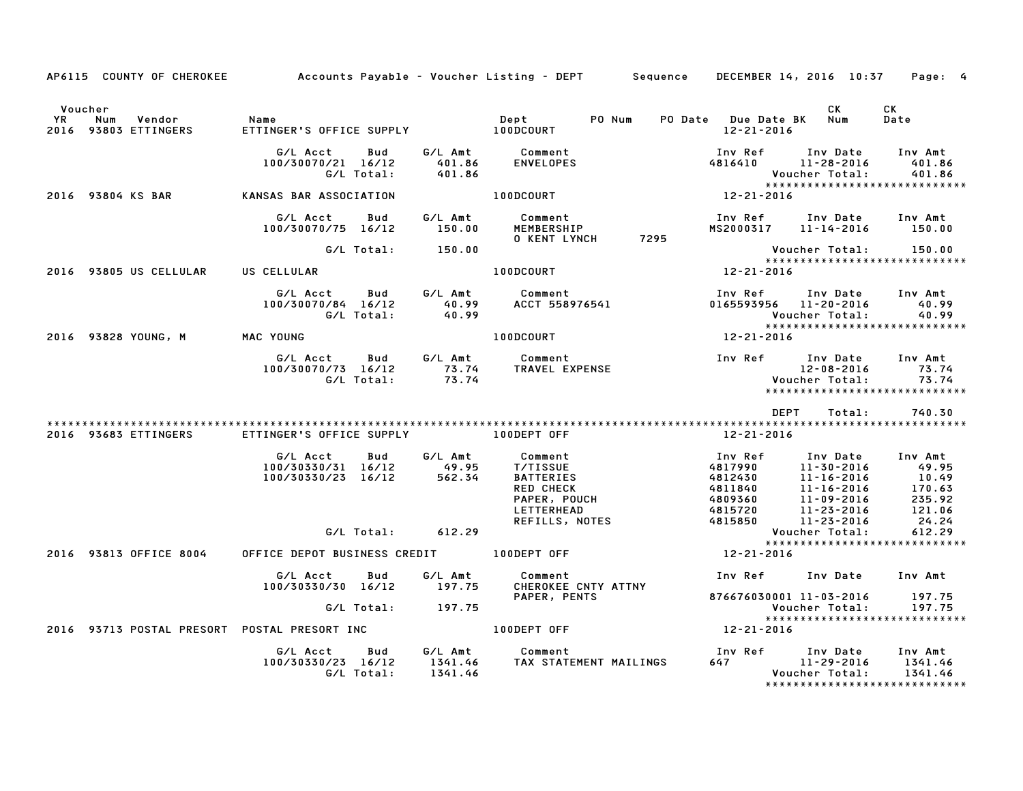|                      |                                            | AP6115 COUNTY OF CHEROKEE Accounts Payable - Voucher Listing - DEPT Sequence DECEMBER 14, 2016 10:37 Page: 4 |         |                                                                                                                                                                             |      |                                       |                                                                                                                                                                                                    |                                          |
|----------------------|--------------------------------------------|--------------------------------------------------------------------------------------------------------------|---------|-----------------------------------------------------------------------------------------------------------------------------------------------------------------------------|------|---------------------------------------|----------------------------------------------------------------------------------------------------------------------------------------------------------------------------------------------------|------------------------------------------|
| Voucher<br><b>YR</b> | Num<br>Vendor Name<br>2016 93803 ETTINGERS |                                                                                                              |         |                                                                                                                                                                             |      | PO Date Due Date BK Num<br>12-21-2016 | CK                                                                                                                                                                                                 | CK<br>Date                               |
|                      |                                            | G/L Acct<br>Bud<br>100/30070/21 16/12<br>G/L Total:                                                          |         | G/L Amt          Comment<br>401.86        ENVELOPES<br>401.86                                                                                                               |      |                                       | Inv Ref      Inv Date     Inv Amt<br>$4816410$ $11-28-2016$<br>Voucher Total:                                                                                                                      | 401.86<br>401.86                         |
|                      |                                            | 2016 93804 KS BAR KANSAS BAR ASSOCIATION                                                                     |         | 100DCOURT                                                                                                                                                                   |      | $12 - 21 - 2016$                      |                                                                                                                                                                                                    | *****************************            |
|                      |                                            | G/L Acct<br>Bud<br>100/30070/75 16/12                                                                        |         | <b>O KENT LYNCH</b>                                                                                                                                                         | 7295 |                                       | Inv Ref      Inv Date    Inv Amt<br>MS2000317    11–14–2016      150.00                                                                                                                            |                                          |
|                      |                                            | G/L Total: 150.00                                                                                            |         |                                                                                                                                                                             |      |                                       | Voucher Total: 150.00                                                                                                                                                                              |                                          |
|                      | 2016 93805 US CELLULAR                     | US CELLULAR                                                                                                  |         | 100DCOURT                                                                                                                                                                   |      | $12 - 21 - 2016$                      |                                                                                                                                                                                                    | *****************************            |
|                      |                                            |                                                                                                              |         | G/L Acct       Bud        G/L Amt          Comment<br>100/30070/84   16/12            40.99        ACCT  558976541<br>G/L Total:            40.99                           |      |                                       | Inv Ref Inv Date Inv Amt<br>0165593956 11-20-2016<br>Voucher Total:                                                                                                                                | 40.99<br>40.99                           |
|                      | 2016 93828 YOUNG, M MAC YOUNG              |                                                                                                              |         | 100DCOURT 12-21-2016                                                                                                                                                        |      |                                       |                                                                                                                                                                                                    | ******************************           |
|                      |                                            |                                                                                                              |         | G/L Acct Bud G/L Amt Comment 100/30070/73 16/12 6/L Amt Comment 100/30070/73 16/12 73.74<br>12-08-2016 73.74 TRAVEL EXPENSE 12-08-2016 73.74<br>12-08-2016 6/L Total: 73.74 |      |                                       |                                                                                                                                                                                                    |                                          |
|                      |                                            |                                                                                                              |         |                                                                                                                                                                             |      |                                       | DEPT<br>Total:                                                                                                                                                                                     | 740.30                                   |
|                      | 2016 93683 ETTINGERS                       |                                                                                                              |         |                                                                                                                                                                             |      | 12-21-2016                            |                                                                                                                                                                                                    |                                          |
|                      |                                            | G/L Acct<br>100/30330/31 16/12 49.95<br>100/30330/23 16/12 562.34                                            |         | Bud G/L Amt Comment<br>T/TISSUE<br><b>PATTERIES</b><br>PATTERIES<br>RED CHECK 48118<br>PAPER, POUCH 48093<br>LETTERHEAD 48157<br>REFILLS, NOTES 48158                       |      |                                       | Inv Ref Inv Date Inv Amt<br>110 12016 100 11-23-2016<br>11-30-2016 10.49<br>11-16-2016 10.49<br>11-16-2016 10.49<br>11-16-2016 170.63<br>125.92<br>11-23-2016 121.06<br>121.06<br>11-23-2016 24.24 |                                          |
|                      |                                            | G/L Total: 612.29                                                                                            |         |                                                                                                                                                                             |      |                                       | Voucher Total:                                                                                                                                                                                     | 612.29                                   |
|                      | 2016 93813 OFFICE 8004                     | OFFICE DEPOT BUSINESS CREDIT 100DEPT OFF                                                                     |         |                                                                                                                                                                             |      | 12-21-2016                            |                                                                                                                                                                                                    | *****************************            |
|                      |                                            | G/L Acct<br>Bud<br>100/30330/30 16/12                                                                        | 197.75  | G/L Amt Comment<br>CHEROKEE CNTY ATTNY                                                                                                                                      |      |                                       | Inv Ref Inv Date Inv Amt                                                                                                                                                                           |                                          |
|                      |                                            | G/L Total: 197.75                                                                                            |         | PAPER, PENTS                                                                                                                                                                |      |                                       | 876676030001 11-03-2016 197.75<br>Voucher Total: 197.75                                                                                                                                            | ******************************           |
|                      |                                            | 2016 93713 POSTAL PRESORT POSTAL PRESORT INC <b>100DEPT OFF</b>                                              |         |                                                                                                                                                                             |      | 12-21-2016                            |                                                                                                                                                                                                    |                                          |
|                      |                                            | G/L Acct<br>Bud<br>100/30330/23 16/12<br>G/L Total:                                                          | 1341.46 | G/L Amt Comment<br>است المستحدة<br>1341.46     TAX STATEMENT MAILINGS<br>1341.46                                                                                            |      |                                       | Inv Ref Inv Date Inv Amt<br>$647$ 11-29-2016 1341.46<br>Voucher Total:                                                                                                                             | 1341.46<br>***************************** |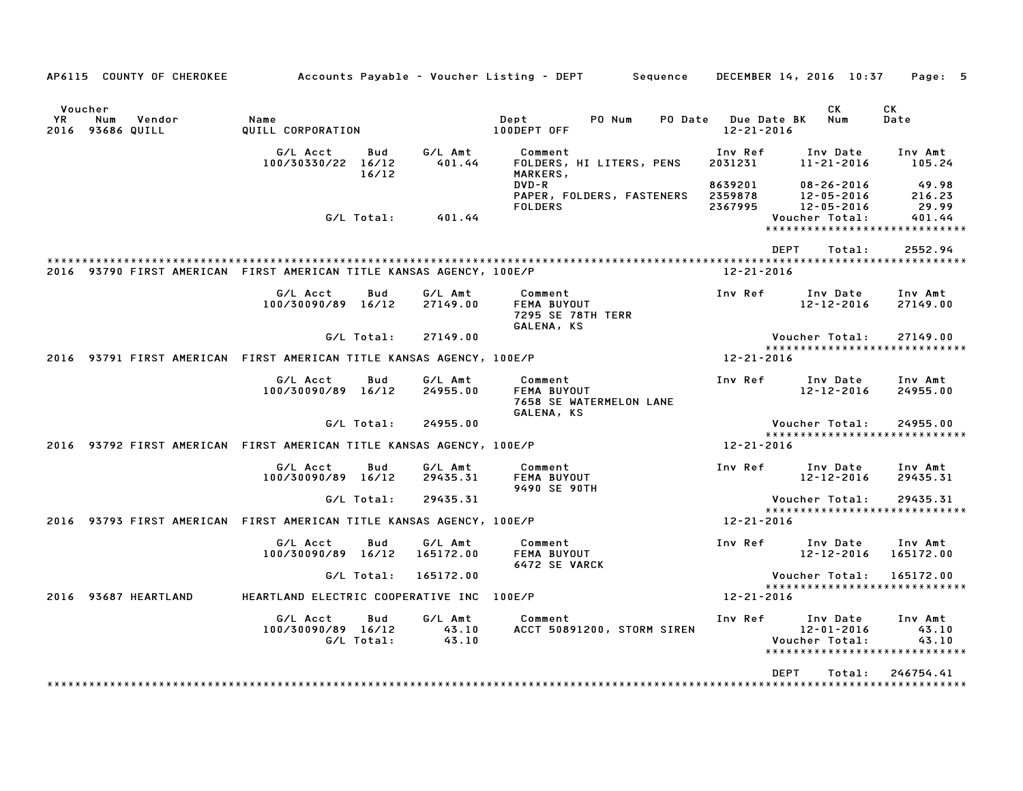|                        |                    | AP6115 COUNTY OF CHEROKEE |                                                                      |                   |                           | Accounts Payable – Voucher Listing – DEPT<br>Sequence     |                                        | DECEMBER 14, 2016 10:37                                       | Page: 5                              |
|------------------------|--------------------|---------------------------|----------------------------------------------------------------------|-------------------|---------------------------|-----------------------------------------------------------|----------------------------------------|---------------------------------------------------------------|--------------------------------------|
| Voucher<br>YR.<br>2016 | Num<br>93686 QUILL | Vendor                    | Name<br>QUILL CORPORATION                                            |                   |                           | Dept<br>PO Num<br>PO Date<br>100DEPT OFF                  | <b>Due Date BK</b><br>$12 - 21 - 2016$ | СK<br>Num                                                     | CК<br>Date                           |
|                        |                    |                           | G/L Acct<br>100/30330/22 16/12                                       | Bud<br>16/12      | G/L Amt<br>401.44         | Comment<br>FOLDERS, HI LITERS, PENS<br>MARKERS,           | Inv Ref<br>2031231                     | Inv Date<br>$11 - 21 - 2016$                                  | Inv Amt<br>105.24                    |
|                        |                    |                           |                                                                      |                   |                           | DVD-R<br>PAPER, FOLDERS, FASTENERS<br><b>FOLDERS</b>      | 8639201<br>2359878<br>2367995          | $08 - 26 - 2016$<br>$12 - 05 - 2016$<br>$12 - 05 - 2016$      | 49.98<br>216.23<br>29.99             |
|                        |                    |                           |                                                                      | G/L Total:        | 401.44                    |                                                           |                                        | Voucher Total:<br>*****************************               | 401.44                               |
|                        |                    |                           | 2016 93790 FIRST AMERICAN FIRST AMERICAN TITLE KANSAS AGENCY, 100E/P |                   |                           |                                                           | 12-21-2016                             | <b>DEPT</b><br>Total:                                         | 2552.94<br>************************* |
|                        |                    |                           |                                                                      |                   |                           |                                                           |                                        |                                                               |                                      |
|                        |                    |                           | G/L Acct<br>100/30090/89 16/12                                       | Bud               | G/L Amt<br>27149.00       | Comment<br>FEMA BUYOUT<br>7295 SE 78TH TERR<br>GALENA, KS | Inv Ref                                | Inv Date<br>12-12-2016                                        | Inv Amt<br>27149.00                  |
|                        |                    |                           |                                                                      | G/L Total:        | 27149.00                  |                                                           |                                        | Voucher Total:                                                | 27149.00                             |
|                        |                    |                           | 2016 93791 FIRST AMERICAN FIRST AMERICAN TITLE KANSAS AGENCY, 100E/P |                   |                           |                                                           | 12-21-2016                             | ******************************                                |                                      |
|                        |                    |                           | G/L Acct<br>100/30090/89 16/12                                       | Bud               | G/L Amt<br>24955.00       | Comment<br>FEMA BUYOUT<br>7658 SE WATERMELON LANE         | Inv Ref                                | Inv Date<br>$12 - 12 - 2016$                                  | Inv Amt<br>24955.00                  |
|                        |                    |                           |                                                                      | G/L Total:        | 24955.00                  | GALENA, KS                                                |                                        | Voucher Total:                                                | 24955.00                             |
|                        |                    |                           | 2016 93792 FIRST AMERICAN FIRST AMERICAN TITLE KANSAS AGENCY, 100E/P |                   |                           |                                                           | 12-21-2016                             | ******************************                                |                                      |
|                        |                    |                           | G/L Acct<br>100/30090/89 16/12                                       | Bud               | G/L Amt<br>29435.31       | Comment<br>FEMA BUYOUT<br>9490 SE 90TH                    | Inv Ref                                | Inv Date<br>$12 - 12 - 2016$                                  | Inv Amt<br>29435.31                  |
|                        |                    |                           |                                                                      | G/L Total:        | 29435.31                  |                                                           |                                        | Voucher Total:                                                | 29435.31                             |
|                        |                    |                           | 2016 93793 FIRST AMERICAN FIRST AMERICAN TITLE KANSAS AGENCY, 100E/P |                   |                           |                                                           | $12 - 21 - 2016$                       | *****************************                                 |                                      |
|                        |                    |                           | G/L Acct<br>100/30090/89 16/12                                       | Bud               | G/L Amt<br>165172.00      | Comment<br>FEMA BUYOUT<br><b>6472 SE VARCK</b>            | Inv Ref                                | Inv Date<br>12-12-2016                                        | Inv Amt<br>165172.00                 |
|                        |                    |                           |                                                                      | G/L Total:        | 165172.00                 |                                                           |                                        | Voucher Total:                                                | 165172.00                            |
|                        |                    | 2016 93687 HEARTLAND      | HEARTLAND ELECTRIC COOPERATIVE INC                                   |                   |                           | 100E/P                                                    | 12-21-2016                             | *****************************                                 |                                      |
|                        |                    |                           | G/L Acct<br>100/30090/89 16/12                                       | Bud<br>G/L Total: | G/L Amt<br>43.10<br>43.10 | Comment<br>ACCT 50891200, STORM SIREN                     | Inv Ref                                | Inv Date<br>12-01-2016<br>Voucher Total:<br>***************** | Inv Amt<br>43.10<br>43.10            |
|                        |                    |                           |                                                                      |                   |                           |                                                           |                                        | <b>DEPT</b><br>Total:                                         | 246754.41                            |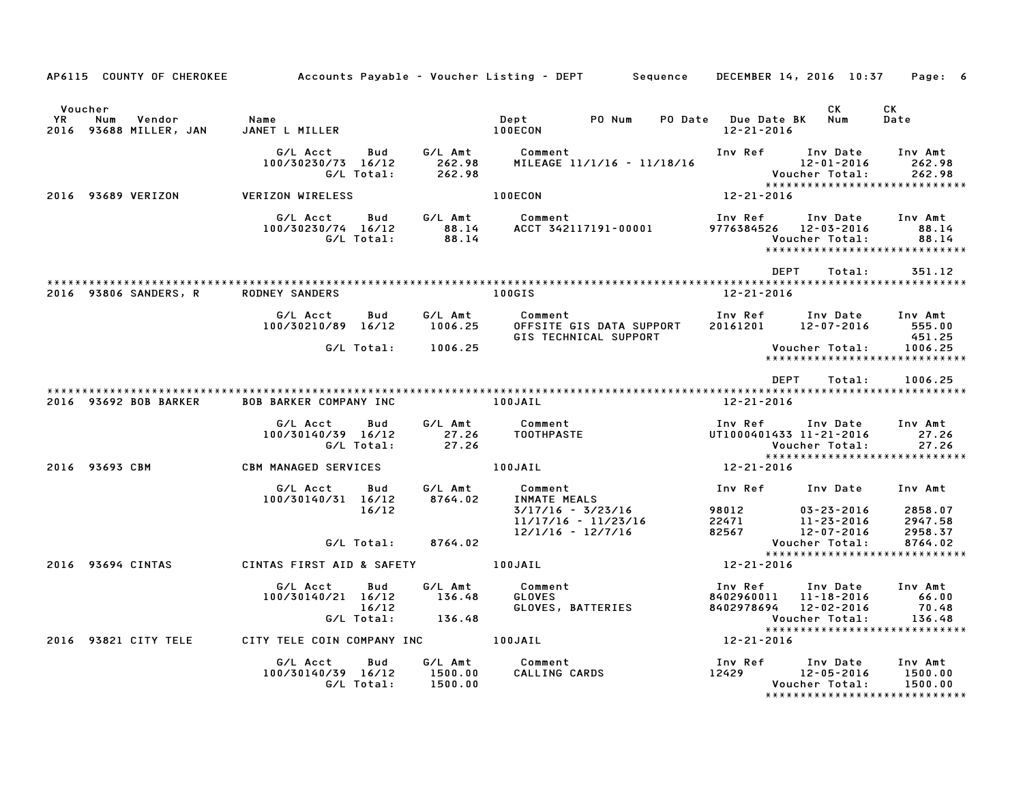| AP6115 COUNTY OF CHEROKEE Accounts Payable - Voucher Listing - DEPT Sequence DECEMBER 14, 2016 10:37 Page: 6 |                                                                                                                                                                                                                                  |                                   |                                                                                                                                                                                                                      |                                                                                        |                        |                                                                        |
|--------------------------------------------------------------------------------------------------------------|----------------------------------------------------------------------------------------------------------------------------------------------------------------------------------------------------------------------------------|-----------------------------------|----------------------------------------------------------------------------------------------------------------------------------------------------------------------------------------------------------------------|----------------------------------------------------------------------------------------|------------------------|------------------------------------------------------------------------|
| Voucher<br>YR Num Vendor - Name<br>2016 93688 MILLER, JAN - JANET L                                          | SANET LATTLER TRANSPORT TRANSPORT OF THE MEDICINE STATES OF THE MANUFACTURE OF THE MANUFACTURE OF THE MANUFACT<br>THE MANUFACTURE OF THE MANUFACTURE OF THE MANUFACTURE OF THE MANUFACTURE OF THE MANUFACTURE OF THE MANUFACTURE |                                   | Dept PO Num PO Date Due Date BK Num                                                                                                                                                                                  | 12-21-2016                                                                             | <b>CK</b>              | CK<br>Date                                                             |
|                                                                                                              |                                                                                                                                                                                                                                  | G/L Total: 262.98                 | G/L Acct Bud G/L Amt Comment<br>100/30230/73 16/12 262.98 MILEAGE 11/1/                                                                                                                                              | Inv Ref      Inv Date     Inv Amt                                                      |                        |                                                                        |
| 2016 93689 VERIZON                                                                                           | <b>VERIZON WIRELESS</b>                                                                                                                                                                                                          |                                   | <b>100ECON</b>                                                                                                                                                                                                       | $12 - 21 - 2016$                                                                       |                        |                                                                        |
|                                                                                                              | G/L Acct<br>100/30230/74 16/12                                                                                                                                                                                                   | <b>Bud</b><br>G/L Total:          |                                                                                                                                                                                                                      | Inv Ref      Inv Date     Inv Amt                                                      | Voucher Total:         | 88.14<br>88.14                                                         |
|                                                                                                              |                                                                                                                                                                                                                                  |                                   |                                                                                                                                                                                                                      | DEPT                                                                                   | Total:                 | 351.12                                                                 |
| 2016 93806 SANDERS, R RODNEY SANDERS                                                                         |                                                                                                                                                                                                                                  | <b>Example 100GIS</b>             |                                                                                                                                                                                                                      | 12-21-2016                                                                             |                        |                                                                        |
|                                                                                                              | G/L Acct Bud<br>$100/30210/89$ $16/12$ $1006.25$                                                                                                                                                                                 |                                   | G/L Amt Comment<br>GIS TECHNICAL SUPPORT                                                                                                                                                                             |                                                                                        |                        | 555.00<br>451.25                                                       |
|                                                                                                              |                                                                                                                                                                                                                                  | G/L Total: 1006.25                |                                                                                                                                                                                                                      |                                                                                        | Voucher Total: 1006.25 |                                                                        |
| 2016 93692 BOB BARKER                                                                                        | BOB BARKER COMPANY INC 100JAIL                                                                                                                                                                                                   |                                   |                                                                                                                                                                                                                      | DEPT<br>12-21-2016                                                                     | Total:                 | 1006.25                                                                |
|                                                                                                              | G/L Acct<br>100/30140/39 16/12                                                                                                                                                                                                   | Bud                               | G/L Amt Comment<br>Comment<br>TOOTHPASTE                                                                                                                                                                             | Inv Ref      Inv Date     Inv Amt<br>UT1000401433 11-21-2016                           |                        | 27.26<br>27.26<br>Voucher Total: 27.26<br>**************************** |
| 2016 93693 CBM                                                                                               |                                                                                                                                                                                                                                  |                                   | CBM MANAGED SERVICES 100JAIL                                                                                                                                                                                         | $12 - 21 - 2016$                                                                       |                        |                                                                        |
|                                                                                                              | G/L Acct<br>100/30140/31 16/12                                                                                                                                                                                                   |                                   | Bud G/L Amt Comment<br>16/12 8764.02 INMATE_MEALS<br>16/12 8764.02 INMATE_MEALS<br>27/17/16 - 3/23/16 98012 03–23–2016 2858.07<br>11/17/16 - 12/7/16 22471 11–23–2016 2947.58<br>22471 11–23–2016 2947.58<br>2266.37 |                                                                                        |                        |                                                                        |
|                                                                                                              |                                                                                                                                                                                                                                  | G/L Total:         8764.02        |                                                                                                                                                                                                                      |                                                                                        |                        |                                                                        |
| 2016 93694 CINTAS                                                                                            |                                                                                                                                                                                                                                  |                                   | CINTAS FIRST AID & SAFETY 100JAIL 12-21-2016                                                                                                                                                                         |                                                                                        |                        | Voucher Total: 8764.02<br>*****************************                |
|                                                                                                              | G/L Acct<br>$100/30140/21$ $16/12$ $136.48$<br>$16/12$                                                                                                                                                                           | <b>Bud</b><br>$G/L$ Total: 136.48 | G/L Amt Comment                                                                                                                                                                                                      | Inv Ref Inv Date Inv Amt<br>8402960011 11-18-2016 66.00<br>8402978694 12-02-2016 70.48 |                        |                                                                        |
| 2016 93821 CITY TELE                                                                                         |                                                                                                                                                                                                                                  |                                   | CITY TELE COIN COMPANY INC 100JAIL 12-21-2016                                                                                                                                                                        |                                                                                        |                        |                                                                        |
|                                                                                                              | G/L Acct Bud G/L Amt<br>100/30140/39 16/12 1500.00<br>G/L Total: 1500.00                                                                                                                                                         |                                   | G/L Amt Comment                                                                                                                                                                                                      |                                                                                        | Voucher Total:         | 1500.00<br>*****************************                               |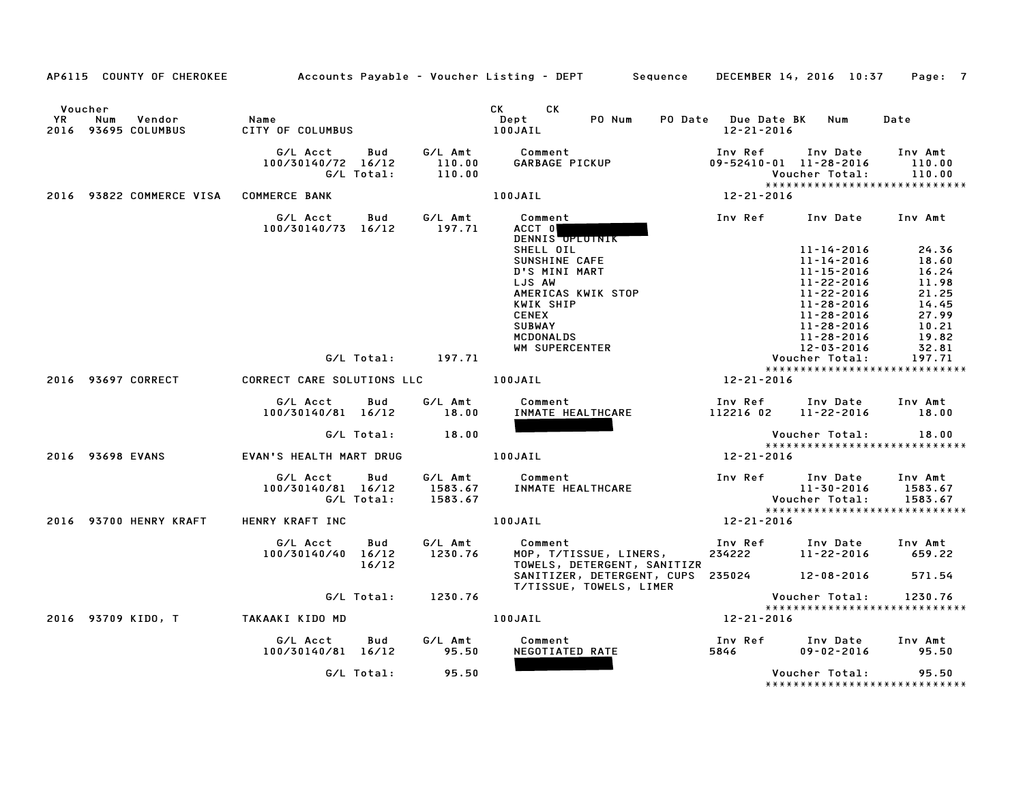|           | AP6115 COUNTY OF CHEROKEE                       |                                     |                   |                             | Accounts Payable – Voucher Listing – DEPT Sequence DECEMBER 14, 2016 10:37 |                                   |                                                      | Page: 7                       |
|-----------|-------------------------------------------------|-------------------------------------|-------------------|-----------------------------|----------------------------------------------------------------------------|-----------------------------------|------------------------------------------------------|-------------------------------|
| <b>YR</b> | Voucher<br>Num<br>Vendor<br>2016 93695 COLUMBUS | Name<br>CITY OF COLUMBUS            |                   |                             | CK CK<br>Dept<br>PO Num<br>100JAIL                                         | PO Date Due Date BK<br>12-21-2016 | Num                                                  | Date                          |
|           |                                                 | G/L Acct<br>100/30140/72 16/12      | Bud<br>G/L Total: | G/L Amt<br>110.00<br>110.00 | Comment<br>GARBAGE PICKUP                                                  | Inv Ref                           | Inv Date<br>09-52410-01 11-28-2016<br>Voucher Total: | Inv Amt<br>110.00<br>110.00   |
|           | 2016 93822 COMMERCE VISA COMMERCE BANK          |                                     |                   |                             | 100JAIL                                                                    | 12-21-2016                        | *****************************                        |                               |
|           |                                                 | G/L Acct<br>100/30140/73 16/12      | Bud               | G/L Amt<br>197.71           | Comment<br>ACCT 0<br>DENNIS OPLOTNIK<br>SHELL OIL                          | Inv Ref                           | Inv Date<br>11-14-2016                               | Inv Amt<br>24.36              |
|           |                                                 |                                     |                   |                             | SUNSHINE CAFE                                                              |                                   | 11-14-2016                                           | 18.60                         |
|           |                                                 |                                     |                   |                             | D'S MINI MART                                                              |                                   | 11-15-2016                                           | 16.24                         |
|           |                                                 |                                     |                   |                             | LJS AW<br>AMERICAS KWIK STOP                                               |                                   | 11-22-2016<br>11-22-2016                             | 11.98<br>21.25                |
|           |                                                 |                                     |                   |                             | KWIK SHIP                                                                  |                                   | 11-28-2016                                           | 14.45                         |
|           |                                                 |                                     |                   |                             | <b>CENEX</b>                                                               |                                   | 11-28-2016                                           | 27.99                         |
|           |                                                 |                                     |                   |                             | <b>SUBWAY</b>                                                              |                                   | 11-28-2016                                           | 10.21                         |
|           |                                                 |                                     |                   |                             | MCDONALDS                                                                  |                                   | 11-28-2016                                           | 19.82                         |
|           |                                                 |                                     |                   |                             | WM SUPERCENTER                                                             |                                   | 12-03-2016                                           | 32.81                         |
|           |                                                 |                                     |                   | G/L Total: 197.71           |                                                                            |                                   | Voucher Total:                                       | 197.71                        |
|           | 2016 93697 CORRECT                              | CORRECT CARE SOLUTIONS LLC [100JAIL |                   |                             |                                                                            | 12-21-2016                        | *****************************                        |                               |
|           |                                                 | G/L Acct                            | Bud               | G/L Amt                     | Comment                                                                    |                                   | Inv Ref      Inv Date                                | Inv Amt                       |
|           |                                                 | 100/30140/81 16/12                  |                   | 18.00                       | INMATE HEALTHCARE                                                          |                                   | 112216 02 11-22-2016                                 | 18.00                         |
|           |                                                 |                                     | G/L Total:        | 18.00                       |                                                                            |                                   | Voucher Total:                                       | 18.00                         |
|           |                                                 |                                     |                   |                             |                                                                            |                                   | *****************************                        |                               |
|           | 2016 93698 EVANS                                | EVAN'S HEALTH MART DRUG             |                   |                             | 100JAIL                                                                    | 12-21-2016                        |                                                      |                               |
|           |                                                 | G/L Acct<br>100/30140/81 16/12      | Bud<br>G/L Total: | 1583.67                     | G/L Amt Comment<br>1583.67 INMATE HEALTHCARE                               |                                   | Inv Ref Inv Date<br>11-30-2016<br>Voucher Total:     | Inv Amt<br>1583.67<br>1583.67 |
|           | 2016 93700 HENRY KRAFT                          | HENRY KRAFT INC                     |                   |                             | 100JAIL                                                                    | 12-21-2016                        | *****************************                        |                               |
|           |                                                 | G/L Acct<br>100/30140/40 16/12      | Bud<br>16/12      | G/L Amt<br>1230.76          | Comment<br>MOP, T/TISSUE, LINERS,<br>TOWELS, DETERGENT, SANITIZR           | Inv Ref<br>234222                 | Inv Date<br>11-22-2016                               | Inv Amt<br>659.22             |
|           |                                                 |                                     |                   |                             | SANITIZER, DETERGENT, CUPS 235024 12-08-2016<br>T/TISSUE, TOWELS, LIMER    |                                   |                                                      | 571.54                        |
|           |                                                 |                                     | G/L Total:        | 1230.76                     |                                                                            |                                   | Voucher Total:<br>*****************************      | 1230.76                       |
|           | 2016 93709 KIDO, T                              | TAKAAKI KIDO MD                     |                   |                             | 100JAIL                                                                    | 12-21-2016                        |                                                      |                               |
|           |                                                 | G/L Acct<br>100/30140/81 16/12      | Bud               | G/L Amt<br>95.50            | Comment<br>NEGOTIATED RATE                                                 | Inv Ref<br>5846                   | Inv Date<br>$09 - 02 - 2016$                         | Inv Amt<br>95.50              |
|           |                                                 |                                     | G/L Total:        | 95.50                       |                                                                            |                                   | Voucher Total:<br>******************************     | 95.50                         |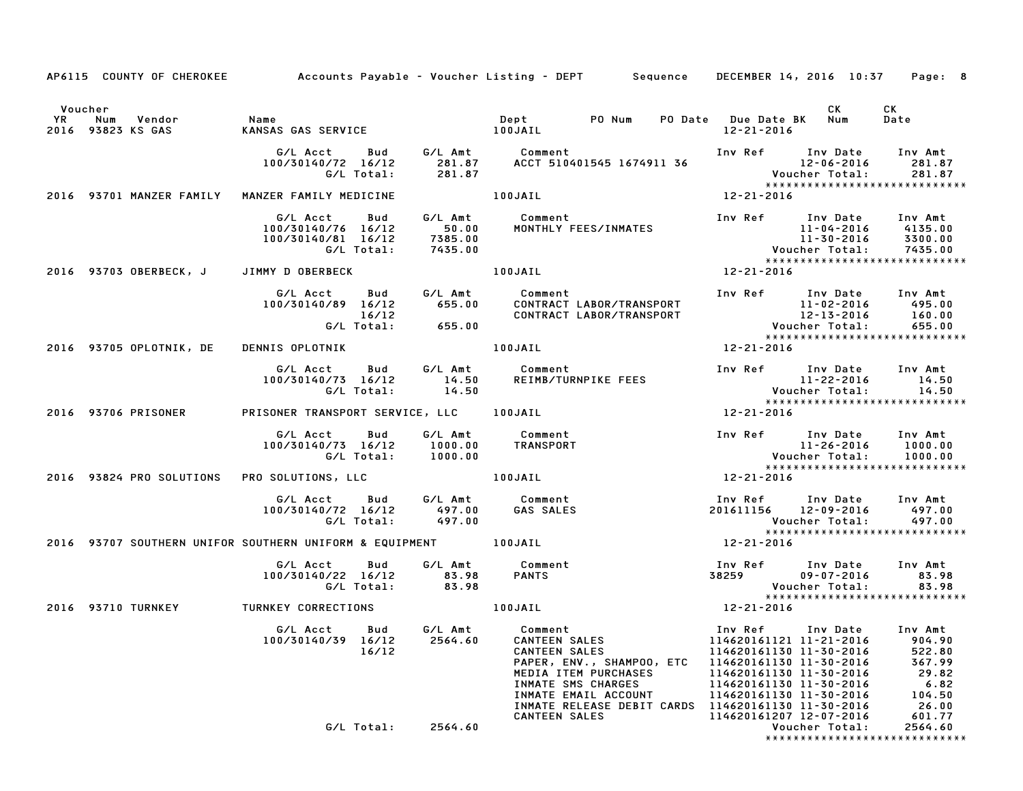|                                               | AP6115 COUNTY OF CHEROKEE Accounts Payable - Voucher Listing - DEPT Sequence DECEMBER 14, 2016 10:37 Page: 8                                                                                                                                                            |         |                                     |                                                                                          |      |                               |
|-----------------------------------------------|-------------------------------------------------------------------------------------------------------------------------------------------------------------------------------------------------------------------------------------------------------------------------|---------|-------------------------------------|------------------------------------------------------------------------------------------|------|-------------------------------|
| Voucher<br>YR Num Vendor<br>2016 93823 KS GAS | Name<br>KANSAS GAS SERVICE 100JAIL                                                                                                                                                                                                                                      |         | Dept PO Num PO Date Due Date BK Num | 12-21-2016                                                                               | CK C | CK<br>Date                    |
|                                               | G/L Acct Bud G/L Amt Comment Inv Ref Inv Date Inv Amt<br>100/30140/72 16/12 281.87 ACCT 510401545 1674911 36 12–06–2016 281.87<br>6/L Total: 281.87 281.87 Voucher Total: 281.87                                                                                        |         |                                     |                                                                                          |      |                               |
|                                               | 2016 93701 MANZER FAMILY MANZER FAMILY MEDICINE                                                                                                                                                                                                                         | 100JAIL |                                     | $12 - 21 - 2016$                                                                         |      |                               |
|                                               | G/L Acct Bud G/L Amt Comment Inv Ref Inv Date Inv Amt<br>100/30140/76 16/12 50.00 MONTHLY FEES/INMATES 11-04-2016 4135.00<br>G/L Total: 7435.00<br>G/L Total: 7435.00<br>100JAIL 12-21-2016 12-21-2016<br>MMY DOBERBECK 100ERBECK 100JAI                                |         |                                     |                                                                                          |      |                               |
|                                               | 2016 93703 OBERBECK, J JIMMY DOBERBECK 100JAIL                                                                                                                                                                                                                          |         |                                     |                                                                                          |      |                               |
|                                               | G/L Acct Bud G/L Amt Comment<br>6/L Acct Bud G/L Amt Comment Inv Ref Inv Date Inv Amt<br>100/30140/89 16/12 655.00 CONTRACT LABOR/TRANSPORT 11-02-2016 495.00<br>6/L Total: 655.00 CONTRACT LABOR/TRANSPORT 12-13-2016 160.00<br>6/L Total: 655.00 Voucher Total: 655.0 |         |                                     |                                                                                          |      |                               |
|                                               | 2016 93705 OPLOTNIK, DE DENNIS OPLOTNIK                                                                                                                                                                                                                                 |         | 100JAIL                             | $12 - 21 - 2016$                                                                         |      |                               |
|                                               |                                                                                                                                                                                                                                                                         |         |                                     |                                                                                          |      |                               |
| 2016 93706 PRISONER                           | PRISONER TRANSPORT SERVICE, LLC 100JAIL 12-21-2016                                                                                                                                                                                                                      |         |                                     |                                                                                          |      |                               |
|                                               |                                                                                                                                                                                                                                                                         |         |                                     |                                                                                          |      |                               |
|                                               | *****<br>2016 12-21-2016 PRO SOLUTIONS, LLC 100JAIL 100JAIL 12-21-2016                                                                                                                                                                                                  |         |                                     |                                                                                          |      |                               |
|                                               |                                                                                                                                                                                                                                                                         |         |                                     | Inv Ref Inv Date Inv Amt<br>201611156 12-09-2016 497.00<br>Voucher Total:                |      | 497.00                        |
|                                               | 2016 93707 SOUTHERN UNIFOR SOUTHERN UNIFORM & EQUIPMENT 100JAIL                                                                                                                                                                                                         |         |                                     | $12 - 21 - 2016$                                                                         |      |                               |
|                                               | G/L Acct  Bud  G/L Amt  Comment<br>100/30140/22 16/12  83.98  PANTS<br>G/L Total:  83.98                                                                                                                                                                                |         |                                     | Inv Ref       Inv Date     Inv Amt<br>38259                 09-07-2016             83.98 |      |                               |
|                                               | 2016 93710 TURNKEY TURNKEY CORRECTIONS<br>2016 93710 TURNKEY TURNKEY CORRECTIONS<br>2018 2018 2018 2018                                                                                                                                                                 |         |                                     |                                                                                          |      |                               |
|                                               | 6/L Acct Bud 6/L Amt Comment<br>100/30140/39 16/12 2564.60 CANTEEN SALES<br>16/12 2564.60 CANTEEN SALES<br>2564.60 CANTEEN SALES<br>PAPER, ENV., SHAMPOO, ETC 114620161130 11-30-2016 522.80<br>PAPER NALES<br>114620161130 11-30-2016 367                              |         |                                     |                                                                                          |      |                               |
|                                               |                                                                                                                                                                                                                                                                         |         |                                     |                                                                                          |      | ***************************** |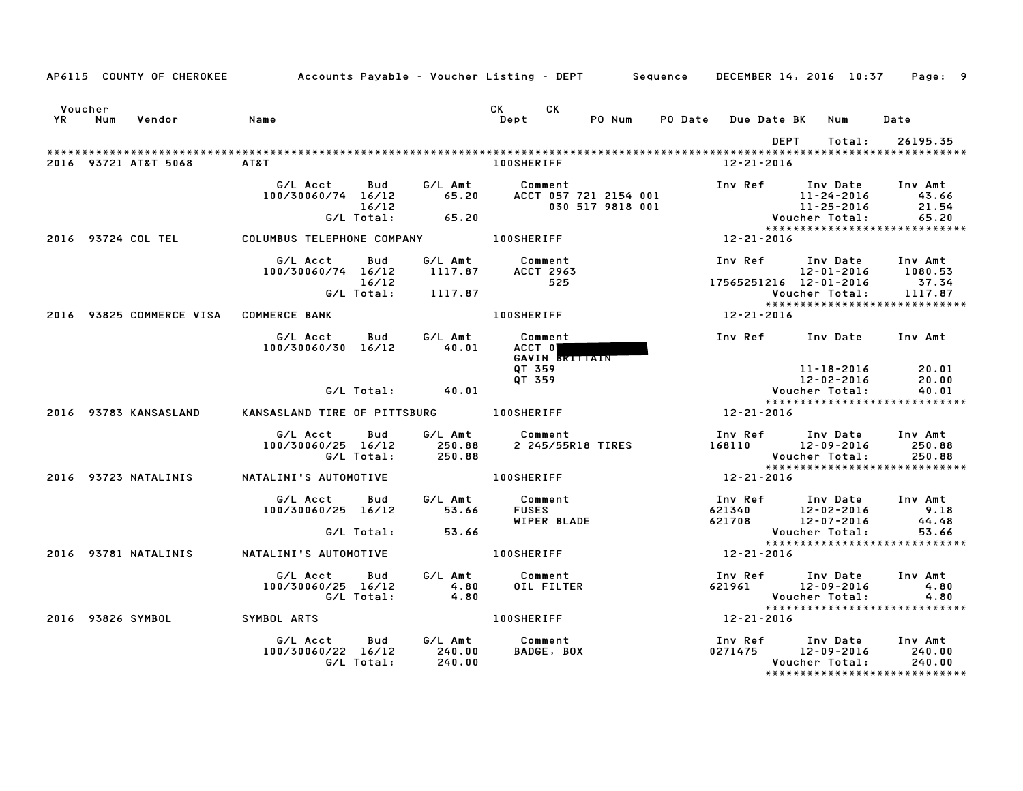|                 |     | AP6115 COUNTY OF CHEROKEE | Accounts Payable – Voucher Listing – DEPT         Sequence   DECEMBER 14, 2016 10:37     Page:   9 |                                   |                                          |                                               |        |                   |                                        |      |                                    |                                                                               |
|-----------------|-----|---------------------------|----------------------------------------------------------------------------------------------------|-----------------------------------|------------------------------------------|-----------------------------------------------|--------|-------------------|----------------------------------------|------|------------------------------------|-------------------------------------------------------------------------------|
| Voucher<br>YR D | Num | Vendor                    | Name                                                                                               |                                   |                                          | CK .<br>CK.<br>Dept                           | PO Num |                   | PO Date Due Date BK                    |      | Num                                | Date                                                                          |
|                 |     | 2016 93721 AT&T 5068      | AT&T                                                                                               |                                   |                                          | <b>100SHERIFF</b>                             |        |                   | 12-21-2016                             | DEPT | Total:                             | 26195.35                                                                      |
|                 |     |                           | G/L Acct<br>100/30060/74 16/12                                                                     | <b>Bud</b><br>16/12<br>G/L Total: | G/L Amt<br>65.20<br>65.20                | Comment                                       |        |                   |                                        |      |                                    | Inv Ref Inv Date Inv Amt<br>43.66<br>21.54<br>65.20                           |
|                 |     |                           | 2016 93724 COL TEL COLUMBUS TELEPHONE COMPANY 100SHERIFF                                           |                                   |                                          |                                               |        |                   | $12 - 21 - 2016$                       |      |                                    |                                                                               |
|                 |     |                           | G/L Acct<br>100/30060/74 16/12                                                                     | Bud<br>16/12<br>G/L Total:        | 1117.87<br>1117.87                       | G/L Amt Comment<br><b>ACCT 2963</b><br>525    |        |                   | 17565251216 12-01-2016                 |      | Voucher Total:                     | Inv Ref      Inv Date     Inv Amt<br>12-01-2016 1080.53<br>37.34<br>1117.87   |
|                 |     |                           | 2016 93825 COMMERCE VISA COMMERCE BANK                                                             |                                   |                                          | <b>100SHERIFF</b>                             |        |                   | 12-21-2016                             |      |                                    | *****************************                                                 |
|                 |     |                           | G/L Acct<br>100/30060/30 16/12                                                                     | Bud                               | $G/L$ Amt<br>$40.01$<br>40.01            | Comment<br>ACCT 0<br>GAVIN BRITTAIN<br>QT 359 |        |                   |                                        |      | 11-18-2016                         | Inv Ref Inv Date Inv Amt<br>20.01                                             |
|                 |     |                           |                                                                                                    |                                   | $G/L$ Total: $40.01$                     | QT 359                                        |        |                   |                                        |      | $12 - 02 - 2016$<br>Voucher Total: | 20.00<br>40.01                                                                |
|                 |     | 2016 93783 KANSASLAND     | KANSASLAND TIRE OF PITTSBURG 100SHERIFF                                                            |                                   |                                          |                                               |        | $12 - 21 - 2016$  |                                        |      |                                    | *****************************                                                 |
|                 |     |                           | G/L Acct Bud<br>100/30060/25 16/12                                                                 | G/L Total:                        | 250.88<br>250.88                         | G/L Amt Comment                               |        | 2 245/55R18 TIRES | 168110 12-09-2016                      |      | Voucher Total:                     | Inv Ref Inv Date Inv Amt<br>250.88<br>250.88<br>***************************** |
|                 |     | 2016 93723 NATALINIS      | NATALINI'S AUTOMOTIVE THE RESERVED DOSHERIFF                                                       |                                   |                                          |                                               |        |                   | 12-21-2016                             |      |                                    |                                                                               |
|                 |     |                           | G/L Acct<br>100/30060/25 16/12                                                                     |                                   | Bud G/L Amt<br>53.66<br>G/L Total: 53.66 | Comment<br><b>FUSES</b><br>WIPER BLADE        |        |                   |                                        |      | Voucher Total:                     | Inv Ref Inv Date Inv Amt<br>9.18<br>44.48<br>53.66                            |
|                 |     | 2016 93781 NATALINIS      | NATALINI'S AUTOMOTIVE                                                                              |                                   |                                          | 100SHERIFF                                    |        |                   | $12 - 21 - 2016$                       |      |                                    | *****************************                                                 |
|                 |     |                           | G/L Acct<br>100/30060/25 16/12                                                                     | Bud<br>G/L Total:                 | $4.80$<br>$4.80$                         | G/L Amt Comment<br>OIL FILTER                 |        |                   | Inv Ref Inv Date<br>621961 12–09–2016  |      | Voucher Total:                     | Inv Amt<br>4.80<br>4.80                                                       |
|                 |     | 2016 93826 SYMBOL         | SYMBOL ARTS                                                                                        |                                   |                                          | 100SHERIFF                                    |        |                   | $12 - 21 - 2016$                       |      |                                    |                                                                               |
|                 |     |                           | G/L Acct<br>100/30060/22 16/12                                                                     | Bud<br>G/L Total:                 | 240.00<br>240.00                         | G/L Amt Comment<br>BADGE, BOX                 |        |                   | Inv Ref Inv Date<br>0271475 12-09-2016 |      | Voucher Total:                     | Inv Amt<br>240.00<br>240.00<br>*****************************                  |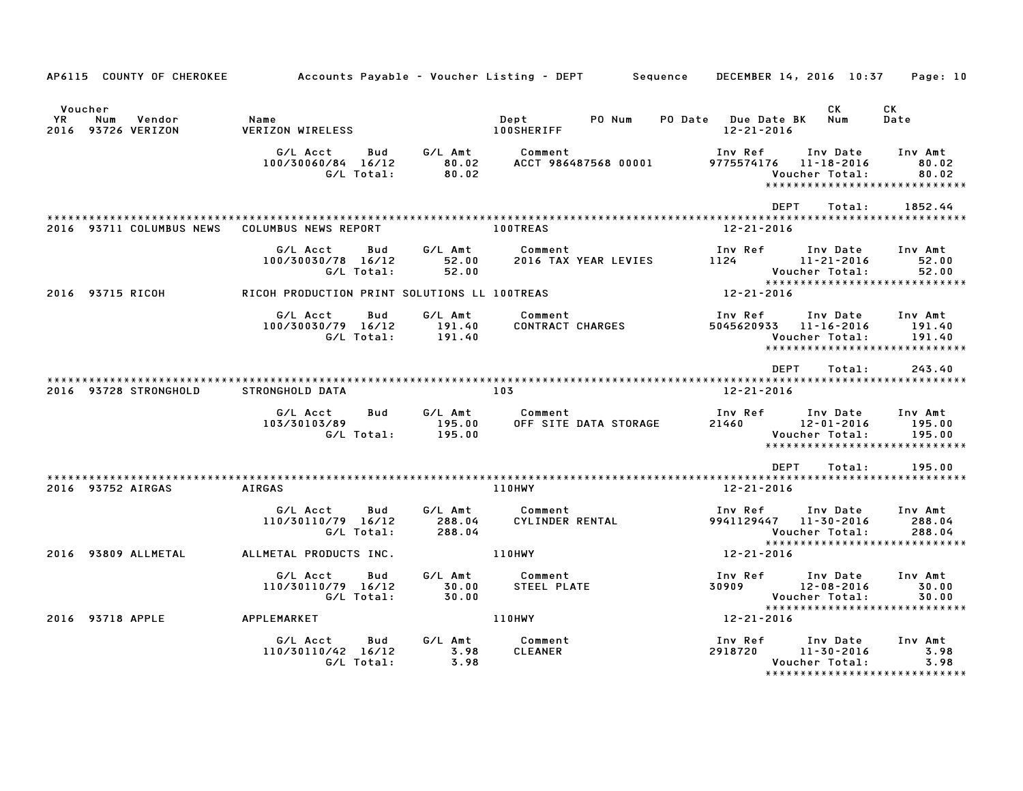| AP6115 COUNTY OF CHEROKEE                            | Accounts Payable – Voucher Listing – DEPT         Sequence     DECEMBER 14, 2016  10:37     Page: 10 |                                  |                                     |                                           |                                                                                                          |  |
|------------------------------------------------------|------------------------------------------------------------------------------------------------------|----------------------------------|-------------------------------------|-------------------------------------------|----------------------------------------------------------------------------------------------------------|--|
| Voucher<br>YR<br>Vendor<br>Num<br>2016 93726 VERIZON | Name<br><b>VERIZON WIRELESS</b>                                                                      |                                  | Dept<br>PO Num<br><b>100SHERIFF</b> | PO Date Due Date BK<br>$12 - 21 - 2016$   | CK<br>CK<br>Num<br>Date                                                                                  |  |
|                                                      | G/L Acct<br>Bud<br>100/30060/84 16/12<br>G/L Total:                                                  | G/L Amt<br>80.02<br>80.02        | Comment<br>ACCT 986487568 00001     | Inv Ref<br>9775574176 11-18-2016          | Inv Date<br>Inv Amt<br>80.02<br>80.02<br>Voucher Total:<br>******************************                |  |
|                                                      |                                                                                                      |                                  |                                     | <b>DEPT</b>                               | 1852.44<br>Total:                                                                                        |  |
| 2016 93711 COLUMBUS NEWS                             | COLUMBUS NEWS REPORT                                                                                 |                                  | <b>100TREAS</b>                     | 12-21-2016                                |                                                                                                          |  |
|                                                      | G/L Acct<br>Bud<br>100/30030/78 16/12<br>G/L Total:                                                  | G/L Amt<br>52.00<br>52.00        | Comment<br>2016 TAX YEAR LEVIES     | Inv Ref<br>1124 (1)                       | Inv Date<br>Inv Amt<br>11-21-2016<br>52.00<br>52.00<br>Voucher Total:                                    |  |
| 2016 93715 RICOH                                     | RICOH PRODUCTION PRINT SOLUTIONS LL 100TREAS                                                         |                                  |                                     | 12-21-2016                                | *****************************                                                                            |  |
|                                                      | G/L Acct<br>Bud<br>100/30030/79 16/12<br>G/L Total:                                                  | G/L Amt<br>191.40<br>191.40      | Comment<br><b>CONTRACT CHARGES</b>  | Inv Ref<br>5045620933 11-16-2016          | Inv Date<br>Inv Amt<br>191.40<br>Voucher Total:<br>191.40<br>*****************************               |  |
|                                                      |                                                                                                      |                                  |                                     | DEPT                                      | 243.40<br>Total:                                                                                         |  |
| 2016 93728 STRONGHOLD                                | STRONGHOLD DATA                                                                                      | 103                              |                                     | 12-21-2016                                |                                                                                                          |  |
|                                                      | G/L Acct<br>Bud<br>103/30103/89<br>G/L Total:                                                        | G/L Amt<br>195.00<br>195.00      | Comment<br>OFF SITE DATA STORAGE    | Inv Ref<br>21460                          | Inv Date<br>Inv Amt<br>195.00<br>12-01-2016<br>Voucher Total:<br>195.00<br>***************************** |  |
|                                                      |                                                                                                      |                                  |                                     | DEPT                                      | 195.00<br>Total:                                                                                         |  |
| 2016 93752 AIRGAS                                    | <b>AIRGAS</b>                                                                                        |                                  | 110HWY                              | 12-21-2016                                |                                                                                                          |  |
|                                                      | G/L Acct<br>Bud<br>110/30110/79 16/12<br>G/L Total:                                                  | G/L Amt<br>288.04<br>288.04      | Comment<br>CYLINDER RENTAL          | Inv Ref<br>9941129447 11-30-2016          | Inv Date<br>Inv Amt<br>288.04<br>288.04<br>Voucher Total:<br>*****************************               |  |
| 2016 93809 ALLMETAL                                  | ALLMETAL PRODUCTS INC.                                                                               |                                  | 110HWY                              | 12-21-2016                                |                                                                                                          |  |
|                                                      | G/L Acct<br>Bud<br>110/30110/79 16/12<br>G/L Total:                                                  | G/L Amt<br>$\frac{30.00}{30.00}$ | Comment<br>STEEL PLATE              | Inv Ref      Inv Date<br>30909 12-08-2016 | Inv Amt<br>30.00<br>Voucher Total:<br>30.00<br>*****************************                             |  |
| 2016 93718 APPLE                                     | APPLEMARKET                                                                                          |                                  | 110HWY                              | 12-21-2016                                |                                                                                                          |  |
|                                                      | G/L Acct<br>Bud<br>110/30110/42 16/12<br>G/L Total:                                                  | G/L Amt<br>3.98<br>3.98          | Comment<br><b>CLEANER</b>           | Inv Ref<br>2918720                        | Inv Date<br>Inv Amt<br>$11 - 30 - 2016$<br>3.98<br>3.98<br>Voucher Total:                                |  |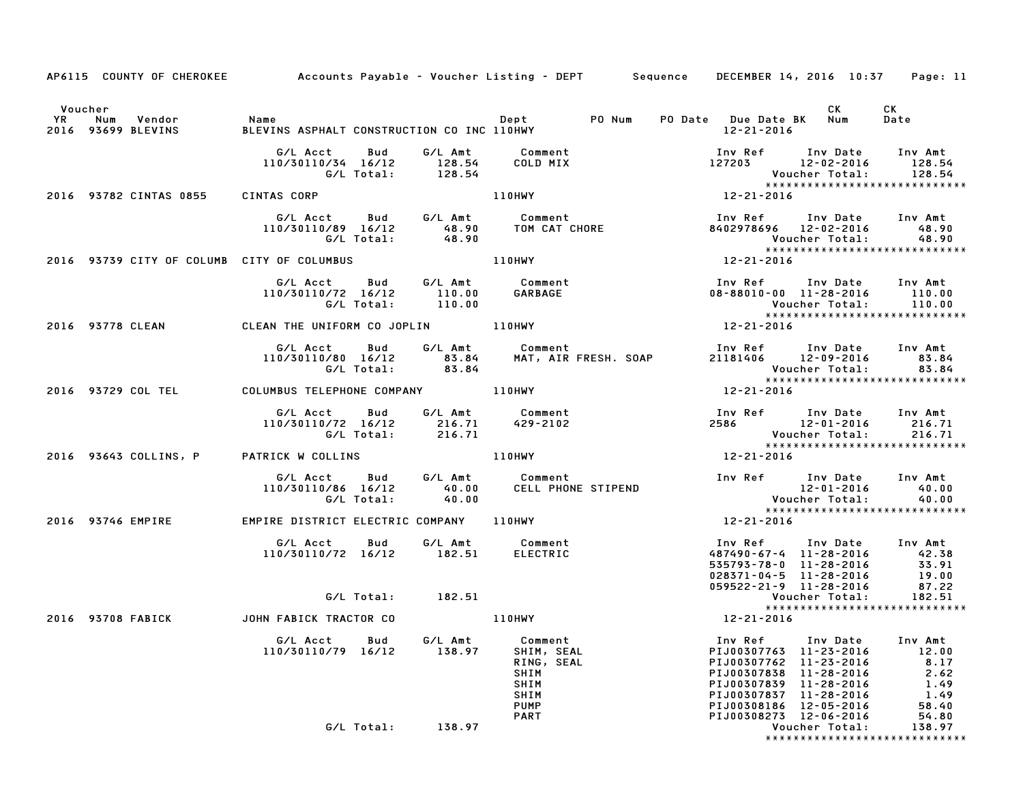|                      |                   |                                  |                                                                                                  |              |                   | AP6115 COUNTY OF CHEROKEE Accounts Payable - Voucher Listing - DEPT Sequence DECEMBER 14, 2016 10:37 Page: 11 |                                                                                                                                              |                                                                                                            |                                                                    |
|----------------------|-------------------|----------------------------------|--------------------------------------------------------------------------------------------------|--------------|-------------------|---------------------------------------------------------------------------------------------------------------|----------------------------------------------------------------------------------------------------------------------------------------------|------------------------------------------------------------------------------------------------------------|--------------------------------------------------------------------|
| Voucher<br><b>YR</b> |                   | Num Vendor<br>2016 93699 BLEVINS | <b>Name</b><br>BLEVINS ASPHALT CONSTRUCTION CO INC 110HWY                                        |              |                   | Dept PO Num                                                                                                   | PO Date Due Date BK Num<br>12-21-2016                                                                                                        | CK .                                                                                                       | CK<br>Date                                                         |
|                      |                   |                                  | G/L Acct Bud<br>110/30110/34 16/12 128.54                                                        |              | G/L Total: 128.54 | G/L Amt Comment<br>COLD MIX                                                                                   | Inv Ref Inv Date Inv Amt<br>$127203$ $12-02-2016$ $128.54$                                                                                   | Voucher Total:                                                                                             | 128.54<br>*****************************                            |
|                      |                   | 2016 93782 CINTAS 0855           | CINTAS CORP                                                                                      |              |                   | 110HWY                                                                                                        | $12 - 21 - 2016$                                                                                                                             |                                                                                                            |                                                                    |
|                      |                   |                                  |                                                                                                  |              | G/L Total: 48.90  |                                                                                                               | Inv Ref      Inv Date     Inv Amt<br>8402978696 12-02-2016 48.90                                                                             | Voucher Total:                                                                                             | 48.90<br>*****************************                             |
|                      |                   |                                  | 2016 93739 CITY OF COLUMB CITY OF COLUMBUS                                                       |              |                   | 110HWY                                                                                                        | 12-21-2016                                                                                                                                   |                                                                                                            |                                                                    |
|                      |                   |                                  | G/L Acct<br>110/30110/72 16/12 110.00 GARBAGE<br>G/L Total: 110.00 GARBAGE                       |              |                   | Bud G/L Amt Comment                                                                                           | Inv Ref Inv Date Inv Amt<br>$08 - 88010 - 00$ 11-28-2016 110.00                                                                              | Voucher Total:                                                                                             | 110.00<br>*****************************                            |
|                      |                   |                                  | 2016 93778 CLEAN CLEAN THE UNIFORM CO JOPLIN 110HWY                                              |              |                   |                                                                                                               | 12-21-2016                                                                                                                                   |                                                                                                            |                                                                    |
|                      |                   |                                  |                                                                                                  |              |                   |                                                                                                               | Inv Ref      Inv Date    Inv Amt<br>21181406       12-09-2016           83.84<br><b>Voucher Total:</b>                                       |                                                                                                            | 83.84                                                              |
|                      |                   |                                  | 2016 93729 COL TEL COLUMBUS TELEPHONE COMPANY 110HWY                                             |              |                   |                                                                                                               | $12 - 21 - 2016$                                                                                                                             |                                                                                                            |                                                                    |
|                      |                   |                                  | G/L Acct Bud G/L Amt Comment<br>110/30110/72 16/12 216.71 429-2102<br>G/L Total: 216.71 429-2102 |              |                   |                                                                                                               | Inv Ref Inv Date Inv Amt<br>2586 12-01-2016<br>Voucher Total:                                                                                |                                                                                                            | 216.71<br>216.71                                                   |
|                      |                   |                                  | 2016 93643 COLLINS, P PATRICK W COLLINS And Many Partners and Material Media and M               |              |                   |                                                                                                               | 12-21-2016                                                                                                                                   |                                                                                                            |                                                                    |
|                      |                   |                                  | G/L Acct Bud<br>110/30110/86 16/12                                                               | G/L Total:   | 40.00<br>40.00    | G/L Amt Comment<br>CELL PHONE STIPEND                                                                         | Inv Ref Inv Date Inv Amt<br>$12 - 01 - 2016$                                                                                                 | <b>Voucher Total:</b>                                                                                      | 40.00<br>40.00<br>*****************************                    |
|                      |                   | 2016 93746 EMPIRE                | EMPIRE DISTRICT ELECTRIC COMPANY 110HWY                                                          |              |                   |                                                                                                               | 12-21-2016                                                                                                                                   |                                                                                                            |                                                                    |
|                      |                   |                                  | G/L Acct<br>110/30110/72 16/12 182.51 ELECTRIC                                                   | Bud          |                   | G/L Amt Comment                                                                                               | Inv Ref Inv Date Inv Amt<br>487490-67-4 11-28-2016<br>535793-78-0 11-28-2016<br>$028371 - 04 - 5$ 11-28-2016<br>$059522 - 21 - 9$ 11-28-2016 |                                                                                                            | 42.38<br>33.91<br>19.00<br>87.22                                   |
|                      |                   |                                  |                                                                                                  | G/L Total:   | 182.51            |                                                                                                               | <b>Voucher Total:</b>                                                                                                                        |                                                                                                            | 182.51<br>*****************************                            |
|                      | 2016 93708 FABICK |                                  | JOHN FABICK TRACTOR CO                                                                           |              |                   | 110HWY                                                                                                        | 12-21-2016                                                                                                                                   |                                                                                                            |                                                                    |
|                      |                   |                                  | G/L Acct<br>110/30110/79                                                                         | Bud<br>16/12 | G/L Amt<br>138.97 | Comment<br>SHIM, SEAL<br>RING, SEAL<br>SHIM<br>SHIM<br>SHIM<br><b>PUMP</b><br><b>PART</b>                     | Inv Ref<br>PIJ00307763<br>PIJ00307762<br>PIJ00307838<br>PIJ00307839<br>PIJ00307837<br>PIJ00308186<br>PIJ00308273                             | Inv Date<br>11-23-2016<br>11-23-2016<br>11-28-2016<br>11-28-2016<br>11-28-2016<br>12-05-2016<br>12-06-2016 | Inv Amt<br>12.00<br>8.17<br>2.62<br>1.49<br>1.49<br>58.40<br>54.80 |
|                      |                   |                                  |                                                                                                  | G/L Total:   | 138.97            |                                                                                                               |                                                                                                                                              | Voucher Total:                                                                                             | 138.97<br>*****************************                            |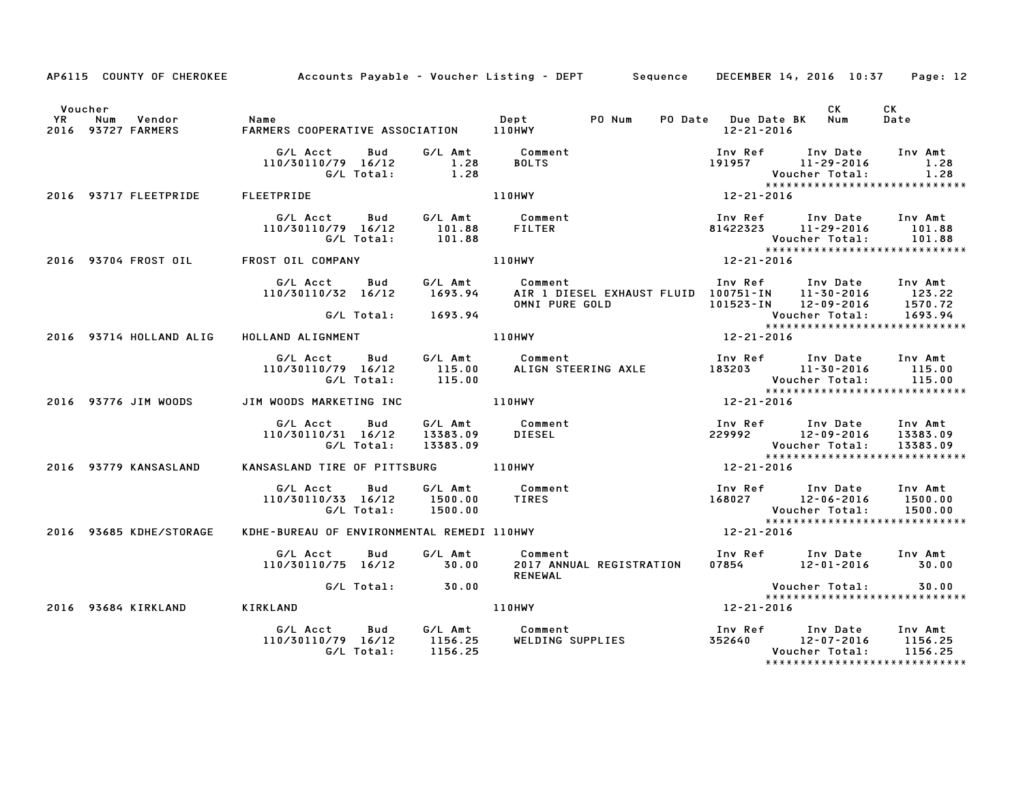|                      | AP6115 COUNTY OF CHEROKEE              |                                                                  |                  | Accounts Payable – Voucher Listing – DEPT Sequence DECEMBER 14, 2016 10:37 Page: 12                                                                             |                                   |                                                                                                                                                                       |                               |
|----------------------|----------------------------------------|------------------------------------------------------------------|------------------|-----------------------------------------------------------------------------------------------------------------------------------------------------------------|-----------------------------------|-----------------------------------------------------------------------------------------------------------------------------------------------------------------------|-------------------------------|
| Voucher<br><b>YR</b> | Vendor<br>Num<br>2016 93727 FARMERS    | Name<br>FARMFR                                                   |                  | PO Num                                                                                                                                                          | 12-21-2016                        | <b>CK</b><br>PO Date Due Date BK Num                                                                                                                                  | CK<br>Date                    |
|                      |                                        |                                                                  |                  |                                                                                                                                                                 |                                   | Inv Ref       Inv Date     Inv Amt<br>191957         11–29–2016            1.28<br>Voucher Total:<br>*****************<br>12-21-2016<br>***************************** | 1.28                          |
|                      | 2016 93717 FLEETPRIDE FLEETPRIDE       |                                                                  |                  |                                                                                                                                                                 |                                   |                                                                                                                                                                       |                               |
|                      |                                        | G/L Acct Bud G/L Amt Comment<br>110/30110/79 16/12<br>G/L Total: | 101.88<br>101.88 | FILTER                                                                                                                                                          |                                   | Inv Ref Inv Date Inv Amt<br>81422323 11-29-2016 101.88<br>$12-21-2016$                                                                                                |                               |
|                      | 2016 93704 FROST OIL FROST OIL COMPANY |                                                                  |                  | 110HWY                                                                                                                                                          |                                   |                                                                                                                                                                       |                               |
|                      |                                        | G/L Acct Bud<br>110/30110/32 16/12                               |                  | OMNI PURE GOLD                                                                                                                                                  |                                   |                                                                                                                                                                       |                               |
|                      |                                        | G/L Total: 1693.94                                               |                  |                                                                                                                                                                 |                                   | Voucher Total: 1693.94<br>****************************                                                                                                                |                               |
|                      | 2016 93714 HOLLAND ALIG                | HOLLAND ALIGNMENT                                                |                  | <b>110HWY</b>                                                                                                                                                   | $12 - 21 - 2016$                  |                                                                                                                                                                       |                               |
|                      |                                        | G/L Acct   Bud<br>110/30110/79 16/12 115.00<br>G/L Total: 115.00 |                  | G/L Amt      Comment                            Inv Ref     Inv Date    Inv Amt<br>115.00      ALIGN STEERING AXLE         183203        11–30–2016      115.00 |                                   | Voucher Total:<br>Voucher Total:<br>Exx××××≈                                                                                                                          | 115.00                        |
|                      | 2016 93776 JIM WOODS                   | JIM WOODS MARKETING INC                                          | <b>110HWY</b>    |                                                                                                                                                                 | $12 - 21 - 2016$                  | *****************************                                                                                                                                         |                               |
|                      |                                        | G/L Acct Bud<br>110/30110/31 16/12<br>G/L Total:                 |                  | 6/L Amt Comment 13383.09<br>13383.09 DIESEL 229992 12-09-2016 13383.09<br>13383.09 Voucher Total: 13383.09<br>12-21-2016 110HWY 12-21-2016                      |                                   | *****************************                                                                                                                                         |                               |
|                      | 2016 93779 KANSASLAND                  | KANSASLAND TIRE OF PITTSBURG 110HWY                              |                  |                                                                                                                                                                 | 12-21-2016                        |                                                                                                                                                                       |                               |
|                      |                                        | G/L Acct<br>110/30110/33 16/12 1500.00<br>G/L Total:             | 1500.00          | Bud G/L Amt Comment<br><b>TIRES</b>                                                                                                                             |                                   | Voucher Total:                                                                                                                                                        | 1500.00                       |
|                      | 2016 93685 KDHE/STORAGE                |                                                                  |                  | EXP TOCAL: ISON.00<br>KDHE-BUREAU OF ENVIRONMENTAL REMEDI 110HWY                                                                                                | $12 - 21 - 2016$                  | *****************************                                                                                                                                         |                               |
|                      |                                        | G/L Acct<br><b>Bud</b><br>110/30110/75 16/12 30.00               | G/L Amt          | Comment<br>2017 ANNUAL REGISTRATION<br><b>RENEWAL</b>                                                                                                           |                                   | Inv Ref Inv Date Inv Amt<br>07854 12-01-2016 30.00                                                                                                                    |                               |
|                      |                                        | G/L Total: 30.00                                                 |                  |                                                                                                                                                                 |                                   | Voucher Total: 30.00<br>*****************************                                                                                                                 |                               |
|                      | 2016 93684 KIRKLAND                    | <b>KIRKLAND</b>                                                  |                  | <b>110HWY</b>                                                                                                                                                   | $x^*$<br>$x^*$ ****<br>12-21-2016 |                                                                                                                                                                       |                               |
|                      |                                        | G/L Acct<br>Bud<br>110/30110/79 16/12<br>G/L Total:              |                  |                                                                                                                                                                 |                                   | ******************************                                                                                                                                        | Inv Amt<br>1156.25<br>1156.25 |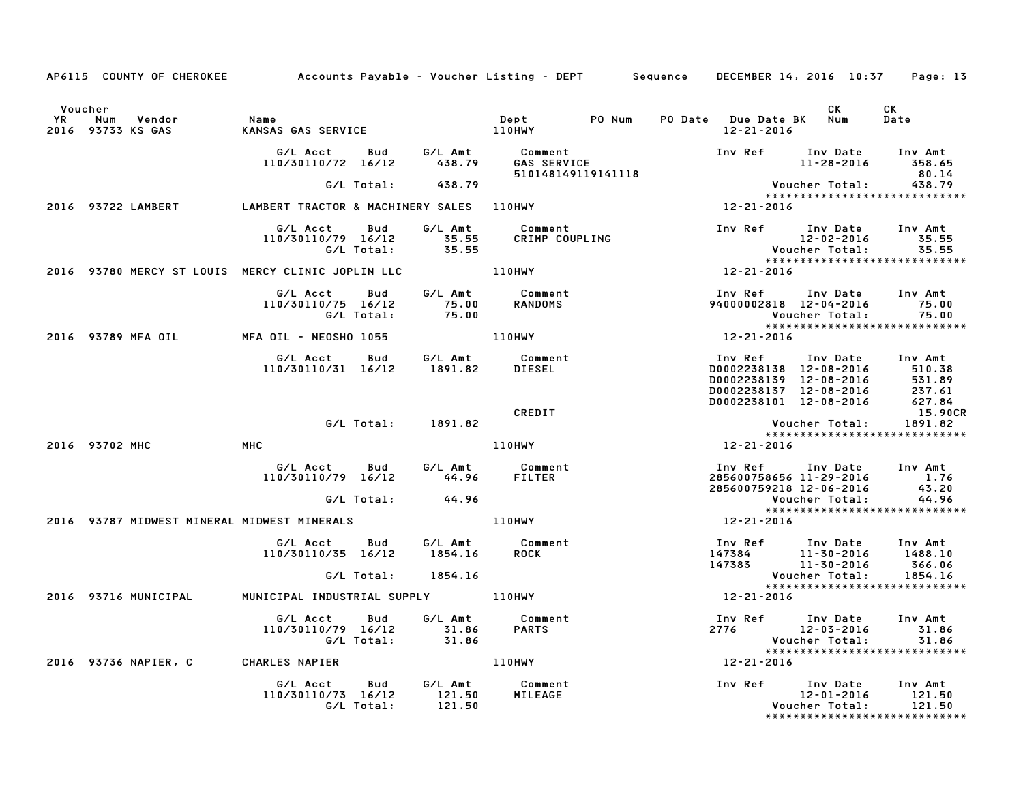|           | AP6115 COUNTY OF CHEROKEE Accounts Payable - Voucher Listing - DEPT Sequence DECEMBER 14, 2016 10:37 |                                                                         |                          |                    |                                                           |  |                                                                                                                                                       |                                    | Page: 13                                                     |
|-----------|------------------------------------------------------------------------------------------------------|-------------------------------------------------------------------------|--------------------------|--------------------|-----------------------------------------------------------|--|-------------------------------------------------------------------------------------------------------------------------------------------------------|------------------------------------|--------------------------------------------------------------|
|           |                                                                                                      |                                                                         |                          |                    |                                                           |  |                                                                                                                                                       |                                    |                                                              |
| Voucher   |                                                                                                      |                                                                         |                          |                    |                                                           |  |                                                                                                                                                       | CK                                 | CK                                                           |
| <b>YR</b> | Num Vendor<br>2016 93733 KS GAS                                                                      | Name<br>KANSAS GAS SERVICE 110HWY                                       |                          |                    | Dept PONum                                                |  | PO Date Due Date BK Num<br>12-21-2016                                                                                                                 |                                    | Date                                                         |
|           |                                                                                                      |                                                                         |                          |                    | 510148149119141118                                        |  |                                                                                                                                                       |                                    | 80.14                                                        |
|           |                                                                                                      |                                                                         |                          | G/L Total: 438.79  |                                                           |  |                                                                                                                                                       | Voucher Total: 438.79              |                                                              |
|           | 2016 93722 LAMBERT LAMBERT TRACTOR & MACHINERY SALES 110HWY                                          |                                                                         |                          |                    |                                                           |  | 12-21-2016                                                                                                                                            |                                    | *****************************                                |
|           |                                                                                                      | G/L Acct Bud<br>110/30110/79 16/12 35.55<br>G/L Total: 35.55            |                          |                    | G/L Amt Comment<br>35.55 CRIMP COUPLING<br>CRIMP COUPLING |  | Inv Ref Inv Date Inv Amt                                                                                                                              | 12-02-2016                         | 35.55                                                        |
|           | 2016 93780 MERCY ST LOUIS MERCY CLINIC JOPLIN LLC 110HWY                                             |                                                                         |                          |                    |                                                           |  | $12 - 21 - 2016$                                                                                                                                      |                                    |                                                              |
|           |                                                                                                      | G/L Acct<br>110/30110/75 16/12                                          | <b>Bud</b><br>G/L Total: | 75.00<br>75.00     | G/L Amt Comment<br><b>RANDOMS</b>                         |  | Inv Ref<br>94000002818 12-04-2016 75.00                                                                                                               | Inv Date Inv Amt<br>Voucher Total: | 75.00<br>*****************************                       |
|           | 2016 93789 MFA OIL                                                                                   | MFA OIL - NEOSHO 1055 110HWY                                            |                          |                    |                                                           |  | 12-21-2016                                                                                                                                            |                                    |                                                              |
|           |                                                                                                      | G/L Acct  Bud  G/L Amt  Comment<br>110/30110/31  16/12  1891.82  DIESEL |                          |                    |                                                           |  | 10002238138 12-08-2016 10002238138 12-08-2016 510.38<br>100002238139 12-08-2016 531.89<br>00002238137<br>D0002238137<br>D0002238101 12-08-2016 627.84 |                                    |                                                              |
|           |                                                                                                      |                                                                         |                          |                    | CREDIT                                                    |  |                                                                                                                                                       |                                    | 15.90CR                                                      |
|           |                                                                                                      |                                                                         |                          | G/L Total: 1891.82 |                                                           |  |                                                                                                                                                       | Voucher Total: 1891.82             |                                                              |
|           | 2016 93702 MHC                                                                                       | MHC                                                                     |                          |                    | <b>110HWY</b>                                             |  | 12-21-2016                                                                                                                                            |                                    |                                                              |
|           |                                                                                                      | 110/30110/79 16/12                                                      |                          | 44.96              | G/L Acct Bud G/L Amt Comment<br>FILTER                    |  | Inv Ref      Inv Date    Inv Amt<br>285600758656 11-29-2016        1.76<br>285600759218 12-06-2016                                                    |                                    | 43.20                                                        |
|           |                                                                                                      |                                                                         | G/L Total:               | 44.96              |                                                           |  |                                                                                                                                                       | Voucher Total:                     | 44.96                                                        |
|           | 2016 93787 MIDWEST MINERAL MIDWEST MINERALS                                                          |                                                                         |                          |                    | 110HWY                                                    |  | 12-21-2016                                                                                                                                            |                                    | *****************************                                |
|           |                                                                                                      | G/L Acct Bud<br>110/30110/35 16/12                                      |                          | 1854.16            | G/L Amt Comment<br>1854.16 ROCK                           |  | 100 Ref 100 Date 100 Amt<br>147384 11-30-2016 1488.10<br>147383 11-30-2016 366.06<br>Voucher Total: 1854.16                                           |                                    |                                                              |
|           |                                                                                                      |                                                                         |                          | G/L Total: 1854.16 |                                                           |  |                                                                                                                                                       |                                    | *****************************                                |
|           | 2016 93716 MUNICIPAL                                                                                 | MUNICIPAL INDUSTRIAL SUPPLY 110HWY                                      |                          |                    |                                                           |  | 12-21-2016                                                                                                                                            |                                    |                                                              |
|           |                                                                                                      | G/L Acct   Bud<br>110/30110/79 16/12 31.86<br>G/L Total: 31.86          |                          |                    | G/L Amt Comment<br><b>PARTS</b>                           |  | Inv Ref Inv Date Inv Amt<br>2776 12-03-2016                                                                                                           | Voucher Total:                     | 31.86<br>31.86                                               |
|           | 2016 93736 NAPIER, C CHARLES NAPIER                                                                  |                                                                         |                          |                    | 110HWY                                                    |  | 12-21-2016                                                                                                                                            |                                    |                                                              |
|           |                                                                                                      | G/L Acct<br>110/30110/73 16/12                                          | <b>Bud</b><br>G/L Total: | 121.50<br>121.50   | G/L Amt Comment<br>MILEAGE                                |  | Inv Ref Inv Date                                                                                                                                      | 12-01-2016<br>Voucher Total:       | Inv Amt<br>121.50<br>121.50<br>***************************** |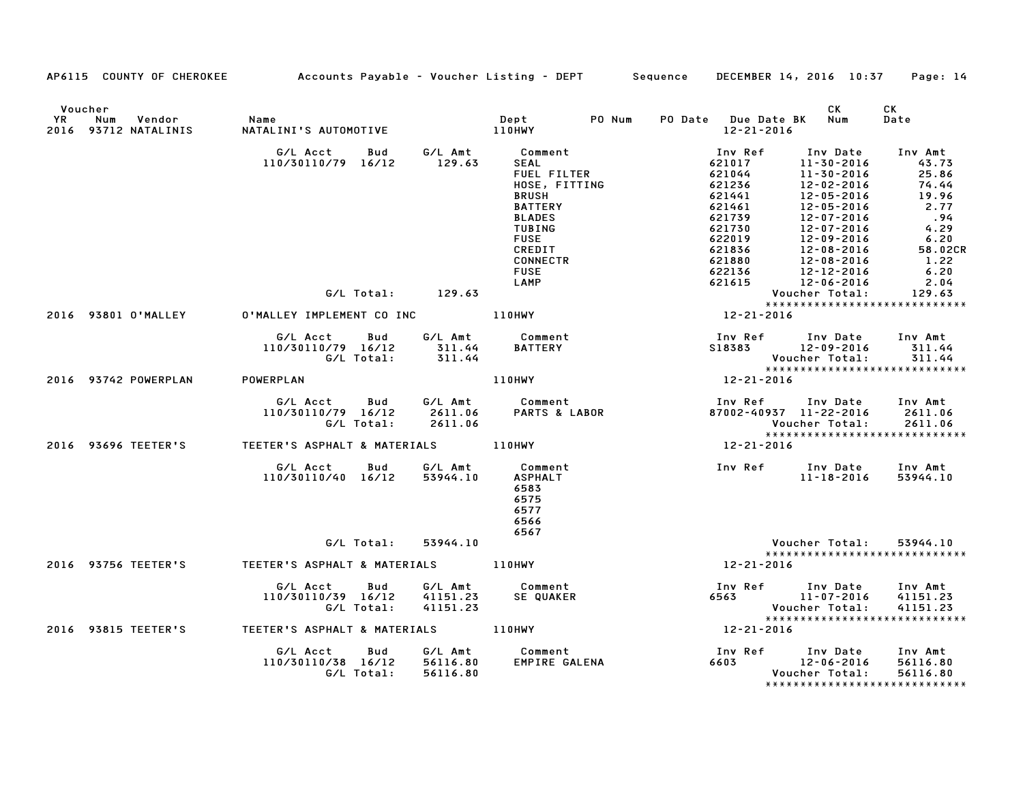|    |                                                  | AP6115 COUNTY OF CHEROKEE Accounts Payable - Voucher Listing - DEPT Sequence |                                 |                                                                                                                                   |                                                                               | DECEMBER 14, 2016 10:37 Page: 14                                                                                             |                                                                    |
|----|--------------------------------------------------|------------------------------------------------------------------------------|---------------------------------|-----------------------------------------------------------------------------------------------------------------------------------|-------------------------------------------------------------------------------|------------------------------------------------------------------------------------------------------------------------------|--------------------------------------------------------------------|
| YR | Voucher<br>Vendor<br>Num<br>2016 93712 NATALINIS | Name<br>NATALINI'S AUTOMOTIVE                                                | 110HWY                          | PO Num<br>Dept                                                                                                                    | PO Date Due Date BK Num<br>12-21-2016                                         | <b>CK</b>                                                                                                                    | СK<br>Date                                                         |
|    |                                                  | G/L Acct<br>Bud<br>110/30110/79 16/12                                        | G/L Amt<br>129.63               | Comment<br><b>SEAL</b><br><b>FUEL FILTER</b><br>HOSE, FITTING<br><b>BRUSH</b><br><b>BATTERY</b><br><b>BLADES</b><br><b>TUBING</b> | Inv Ref<br>621017<br>621044<br>621236<br>621441<br>621461<br>621739<br>621730 | Inv Date<br>11-30-2016<br>$11 - 30 - 2016$<br>12-02-2016<br>$12 - 05 - 2016$<br>12-05-2016<br>12-07-2016<br>$12 - 07 - 2016$ | Inv Amt<br>43.73<br>25.86<br>74.44<br>19.96<br>2.77<br>.94<br>4.29 |
|    |                                                  | G/L Total: 129.63                                                            |                                 | <b>FUSE</b><br>CREDIT<br><b>CONNECTR</b><br><b>FUSE</b><br>LAMP                                                                   | 622019<br>621836<br>621880<br>622136<br>621615                                | 12-09-2016<br>$12 - 08 - 2016$<br>$12 - 08 - 2016$<br>12-12-2016<br>12-06-2016<br>Voucher Total:                             | 6.20<br>58.02CR<br>1.22<br>6.20<br>2.04<br>129.63                  |
|    | 2016 93801 O'MALLEY                              | 0'MALLEY IMPLEMENT CO INC 110HWY                                             |                                 |                                                                                                                                   | $12 - 21 - 2016$                                                              | *****************************                                                                                                |                                                                    |
|    |                                                  | G/L Acct<br>Bud<br>110/30110/79 16/12                                        | G/L Amt<br>311.44               | Comment<br><b>BATTERY</b>                                                                                                         | S18383                                                                        | Inv Ref      Inv Date<br>12-09-2016                                                                                          | Inv Amt<br>311.44                                                  |
|    |                                                  | G/L Total:                                                                   | 311.44                          |                                                                                                                                   |                                                                               | Voucher Total:<br>******************************                                                                             | 311.44                                                             |
|    | 2016 93742 POWERPLAN                             | POWERPLAN                                                                    |                                 | <b>110HWY</b>                                                                                                                     | 12-21-2016                                                                    |                                                                                                                              |                                                                    |
|    |                                                  | G/L Acct<br>Bud<br>110/30110/79 16/12<br>G/L Total:                          | G/L Amt<br>2611.06<br>2611.06   | Comment<br><b>PARTS &amp; LABOR</b>                                                                                               | Inv Ref                                                                       | Inv Date<br>87002-40937 11-22-2016<br>Voucher Total:<br>*****************************                                        | Inv Amt<br>2611.06<br>2611.06                                      |
|    | 2016 93696 TEETER'S                              | TEETER'S ASPHALT & MATERIALS                                                 |                                 | 110HWY                                                                                                                            | 12-21-2016                                                                    |                                                                                                                              |                                                                    |
|    |                                                  | G/L Acct<br><b>Bud</b><br>110/30110/40 16/12                                 | G/L Amt<br>53944.10             | Comment<br><b>ASPHALT</b><br>6583<br>6575<br>6577<br>6566<br>6567                                                                 | Inv Ref Inv Date                                                              | 11-18-2016                                                                                                                   | Inv Amt<br>53944.10                                                |
|    |                                                  | G/L Total:                                                                   | 53944.10                        |                                                                                                                                   |                                                                               | Voucher Total:                                                                                                               | 53944.10                                                           |
|    | 2016 93756 TEETER'S                              | TEETER'S ASPHALT & MATERIALS 110HWY                                          |                                 |                                                                                                                                   | 12-21-2016                                                                    | *****************************                                                                                                |                                                                    |
|    |                                                  | G/L Acct<br>Bud<br>110/30110/39 16/12<br>G/L Total:                          | G/L Amt<br>41151.23<br>41151.23 | Comment<br>SE QUAKER                                                                                                              | Inv Ref                                                                       | Inv Date<br>6563 11-07-2016<br>Voucher Total:<br>*****************************                                               | Inv Amt<br>41151.23<br>41151.23                                    |
|    | 2016 93815 TEETER'S                              |                                                                              |                                 |                                                                                                                                   | 12-21-2016                                                                    |                                                                                                                              |                                                                    |
|    |                                                  | G/L Acct<br>Bud<br>110/30110/38 16/12 56116.80<br>G/L Total:                 | G/L Amt<br>56116.80             | Comment<br>EMPIRE GALENA                                                                                                          | Inv Ref<br>6603                                                               | Inv Date<br>12-06-2016<br>Voucher Total:                                                                                     | Inv Amt<br>56116.80<br>56116.80                                    |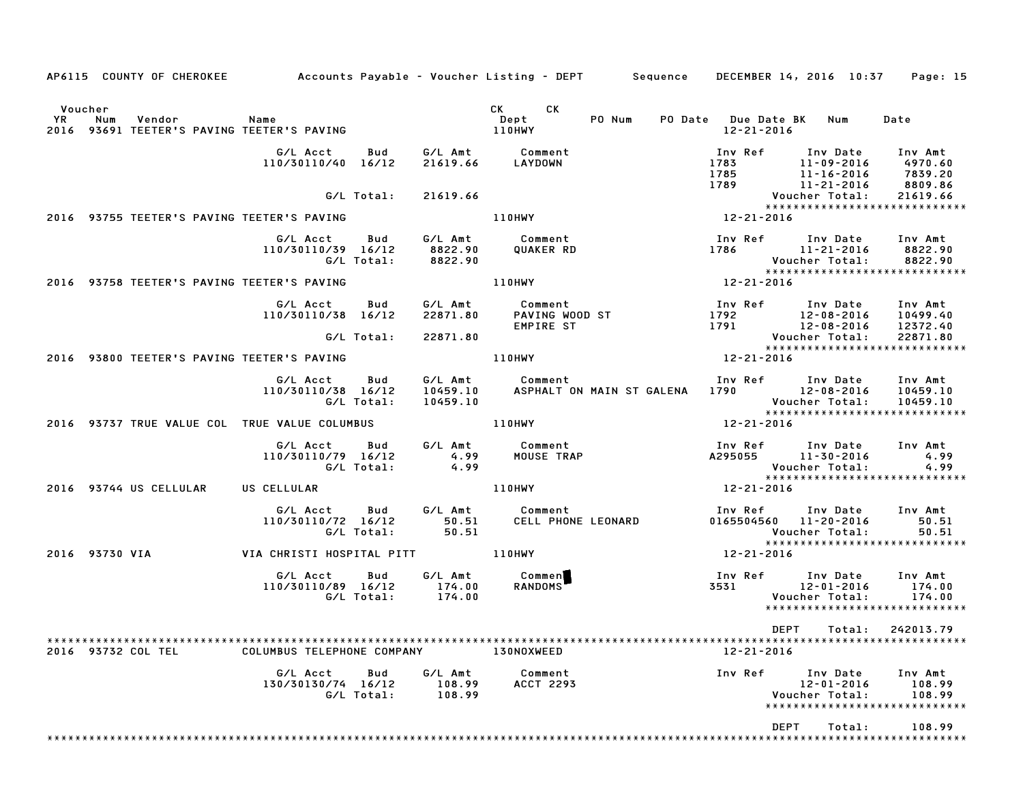| AP6115 COUNTY OF CHEROKEE Accounts Payable - Voucher Listing - DEPT Sequence DECEMBER 14, 2016 10:37 |                                    |                   |                               |                                                                                |                         |                                                                                                                                  | Page: 15                                 |
|------------------------------------------------------------------------------------------------------|------------------------------------|-------------------|-------------------------------|--------------------------------------------------------------------------------|-------------------------|----------------------------------------------------------------------------------------------------------------------------------|------------------------------------------|
| Voucher<br><b>YR</b><br>Num<br>Vendor<br>2016 93691 TEETER'S PAVING TEETER'S PAVING                  | <b>Name</b>                        |                   |                               | CK CK<br>PO Num<br>Dept<br>110HWY                                              | 12-21-2016              | PO Date Due Date BK Num                                                                                                          | Date                                     |
|                                                                                                      | G/L Acct<br>110/30110/40 16/12     | Bud               | 21619.66                      | G/L Amt Comment<br>LAYDOWN                                                     | Inv Ref<br>1783<br>1785 | Inv Date<br>11-09-2016<br>11-16-2016<br>$11 - 21 - 2016$                                                                         | Inv Amt<br>4970.60<br>7839.20<br>8809.86 |
|                                                                                                      |                                    | G/L Total:        | 21619.66                      |                                                                                |                         | *****************************                                                                                                    | 21619.66                                 |
| 2016 93755 TEETER'S PAVING TEETER'S PAVING                                                           |                                    |                   |                               | <b>110HWY</b>                                                                  | $x^*$                   |                                                                                                                                  |                                          |
|                                                                                                      | G/L Acct<br>110/30110/39 16/12     | Bud<br>G/L Total: | G/L Amt<br>8822.90<br>8822.90 | Comment<br>QUAKER RD                                                           |                         | Inv Ref Inv Date Inv Amt<br>1786 11-21-2016<br>Voucher Total:<br>****************<br>12-21-2016<br>***************************** | 8822.90<br>8822.90                       |
| 2016 93758 TEETER'S PAVING TEETER'S PAVING                                                           |                                    |                   |                               | 110HWY                                                                         |                         |                                                                                                                                  |                                          |
|                                                                                                      | G/L Acct<br>110/30110/38 16/12     | Bud               | G/L Amt<br>22871.80           | Comment<br>PAVING WOOD ST<br>EMPIRE ST<br>EMPIRE ST                            | 1792<br>1791            | Inv Ref Inv Date Inv Amt<br>12-08-2016 10499.40<br>$12 - 08 - 2016$                                                              | 12372.40                                 |
|                                                                                                      |                                    | G/L Total:        | 22871.80                      |                                                                                |                         | Voucher Total:<br>******************************                                                                                 | 22871.80                                 |
| 2016 93800 TEETER'S PAVING TEETER'S PAVING                                                           |                                    |                   |                               | <b>110HWY</b>                                                                  | 12-21-2016              |                                                                                                                                  |                                          |
|                                                                                                      | G/L Acct<br>110/30110/38 16/12     | Bud<br>G/L Total: | 10459.10                      | G/L Amt Comment<br>10459.10 ASPHALT ON MAIN ST GALENA 1790 12-08-2016 10459.10 |                         | Inv Ref Inv Date Inv Amt<br>Voucher Total: 10459.10<br>******************************                                            |                                          |
| 2016 93737 TRUE VALUE COL TRUE VALUE COLUMBUS                                                        |                                    |                   | <b>110HWY</b>                 |                                                                                | 12-21-2016              |                                                                                                                                  |                                          |
|                                                                                                      | G/L Acct Bud<br>110/30110/79 16/12 | G/L Total:        | 4.99<br>4.99                  | G/L Amt Comment<br>MOUSE TRAP                                                  |                         | Inv Ref Inv Date Inv Amt<br>A295055 11-30-2016<br>Voucher Total:<br>*****************************                                | 4.99<br>4.99                             |
| 2016 93744 US CELLULAR                                                                               | US CELLULAR                        |                   |                               | 110HWY                                                                         | 12-21-2016              |                                                                                                                                  |                                          |
|                                                                                                      | G/L Acct<br>110/30110/72 16/12     | Bud<br>G/L Total: | 50.51                         | G/L Amt Comment<br>50.51 CELL PHOM<br>CELL PHONE LEONARD                       |                         | Inv Ref      Inv Date<br>0165504560 11-20-2016<br>Voucher Total:<br>*****************************                                | Inv Amt<br>50.51<br>50.51                |
| 2016 93730 VIA                                                                                       |                                    |                   |                               |                                                                                | 12-21-2016              |                                                                                                                                  |                                          |
|                                                                                                      | G/L Acct<br>110/30110/89 16/12     | Bud<br>G/L Total: | 174.00<br>174.00              | G/L Amt Commen<br>RANDOMS <sup>T</sup>                                         | Inv Ref<br>3531         | Inv Date Inv Amt<br>12-01-2016<br>Voucher Total:<br>*****************************                                                | 174.00<br>174.00                         |
|                                                                                                      |                                    |                   |                               |                                                                                |                         |                                                                                                                                  |                                          |
| 2016 93732 COL TEL                                                                                   | COLUMBUS TELEPHONE COMPANY         |                   |                               | 130NOXWEED                                                                     | 12-21-2016              |                                                                                                                                  |                                          |
|                                                                                                      | G/L Acct<br>130/30130/74 16/12     | Bud<br>G/L Total: | G/L Amt<br>108.99<br>108.99   | Comment<br><b>ACCT 2293</b>                                                    | Inv Ref                 | Inv Date<br>$12 - 01 - 2016$<br>Voucher Total:<br>*****************************                                                  | Inv Amt<br>108.99<br>108.99              |
|                                                                                                      |                                    |                   |                               |                                                                                |                         | DEPT<br>Total:                                                                                                                   | 108.99                                   |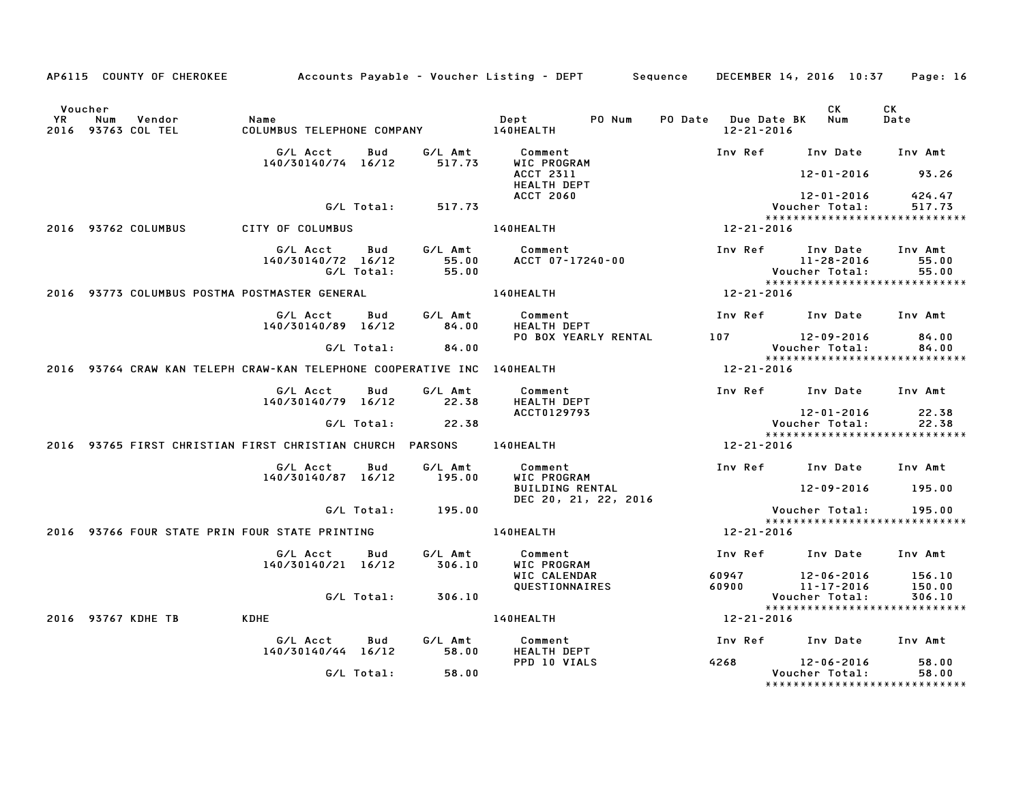|    | AP6115 COUNTY OF CHEROKEE Accounts Payable - Voucher Listing - DEPT Sequence |                                              |                   |                           |                                                  |                  | DECEMBER 14, 2016 10:37                                                           | Page: 16                   |
|----|------------------------------------------------------------------------------|----------------------------------------------|-------------------|---------------------------|--------------------------------------------------|------------------|-----------------------------------------------------------------------------------|----------------------------|
| YR | Voucher<br>Vendor<br>Num<br>2016 93763 COL TEL                               | Name<br>COLUMBUS TELEPHONE COMPANY 140HEALTH |                   |                           | PO Num<br>Dept                                   | $12 - 21 - 2016$ | CK<br>PO Date Due Date BK Num                                                     | CK<br>Date                 |
|    |                                                                              | G/L Acct<br>140/30140/74 16/12               | Bud               | G/L Amt<br>517.73         | Comment<br>WIC PROGRAM                           | Inv Ref          | Inv Date                                                                          | Inv Amt                    |
|    |                                                                              |                                              |                   |                           | <b>ACCT 2311</b><br><b>HEALTH DEPT</b>           |                  | 12-01-2016                                                                        | 93.26                      |
|    |                                                                              |                                              | G/L Total:        | 517.73                    | <b>ACCT 2060</b>                                 |                  | 12-01-2016<br>Voucher Total:                                                      | 424.47<br>517.73           |
|    | 2016 93762 COLUMBUS                                                          | CITY OF COLUMBUS                             |                   |                           | 140HEALTH                                        | 12-21-2016       | *****************************                                                     |                            |
|    |                                                                              | G/L Acct<br>140/30140/72 16/12               | Bud<br>G/L Total: | G/L Amt<br>55.00<br>55.00 | Comment<br>ACCT 07-17240-00                      |                  | Inv Ref Inv Date<br>11-28-2016<br>Voucher Total:<br>***************************** | Inv Amt<br>55.00<br>55.00  |
|    | 2016 93773 COLUMBUS POSTMA POSTMASTER GENERAL                                |                                              |                   |                           | 140HEALTH                                        | 12-21-2016       |                                                                                   |                            |
|    |                                                                              | G/L Acct<br>140/30140/89 16/12               | Bud               | G/L Amt<br>84.00          | Comment<br><b>HEALTH DEPT</b>                    |                  | Inv Ref Inv Date                                                                  | Inv Amt                    |
|    |                                                                              |                                              | G/L Total:        | 84.00                     | PO BOX YEARLY RENTAL                             |                  | 107 12-09-2016<br>Voucher Total:                                                  | 84.00<br>84.00             |
|    | 2016 93764 CRAW KAN TELEPH CRAW-KAN TELEPHONE COOPERATIVE INC 140HEALTH      |                                              |                   |                           |                                                  | 12-21-2016       | *****************************                                                     |                            |
|    |                                                                              | G/L Acct<br>140/30140/79 16/12               | Bud               | G/L Amt<br>22.38          | Comment<br>HEALTH DEPT                           |                  | Inv Ref Inv Date Inv Amt                                                          |                            |
|    |                                                                              |                                              | G/L Total:        | 22.38                     | ACCT0129793                                      |                  | 12-01-2016<br>Voucher Total:                                                      | 22.38<br>22.38             |
|    | 2016 93765 FIRST CHRISTIAN FIRST CHRISTIAN CHURCH PARSONS                    |                                              |                   |                           | 140HEALTH                                        | 12-21-2016       | *****************************                                                     |                            |
|    |                                                                              | G/L Acct<br>140/30140/87 16/12               | Bud               | G/L Amt<br>195.00         | Comment<br>WIC PROGRAM<br><b>BUILDING RENTAL</b> |                  | Inv Ref Inv Date<br>12-09-2016                                                    | Inv Amt<br>195.00          |
|    |                                                                              |                                              | G/L Total:        | 195.00                    | DEC 20, 21, 22, 2016                             |                  | Voucher Total:                                                                    | 195.00                     |
|    | 2016 93766 FOUR STATE PRIN FOUR STATE PRINTING                               |                                              |                   |                           | 140HEALTH                                        | 12-21-2016       | *****************************                                                     |                            |
|    |                                                                              |                                              |                   |                           |                                                  |                  |                                                                                   |                            |
|    |                                                                              | G/L Acct<br>140/30140/21 16/12               | Bud               | G/L Amt<br>306.10         | Comment<br>WIC PROGRAM                           |                  | Inv Ref Inv Date Inv Amt                                                          |                            |
|    |                                                                              |                                              | G/L Total:        | 306.10                    | WIC CALENDAR<br>QUESTIONNAIRES                   |                  | 60947 12-06-2016<br>60900 11-17-2016<br>Voucher Total:                            | 156.10<br>150.00<br>306.10 |
|    | 2016 93767 KDHE TB                                                           | <b>KDHE</b>                                  |                   |                           | 140HEALTH                                        | 12-21-2016       | *****************************                                                     |                            |
|    |                                                                              |                                              |                   |                           |                                                  |                  |                                                                                   |                            |
|    |                                                                              | G/L Acct<br>140/30140/44 16/12               | Bud               | G/L Amt<br>58.00          | Comment<br><b>HEALTH DEPT</b>                    |                  | Inv Ref Inv Date Inv Amt                                                          |                            |
|    |                                                                              |                                              | G/L Total:        | 58.00                     | PPD 10 VIALS                                     | 4268             | 12-06-2016<br>Voucher Total:<br>******************************                    | 58.00<br>58.00             |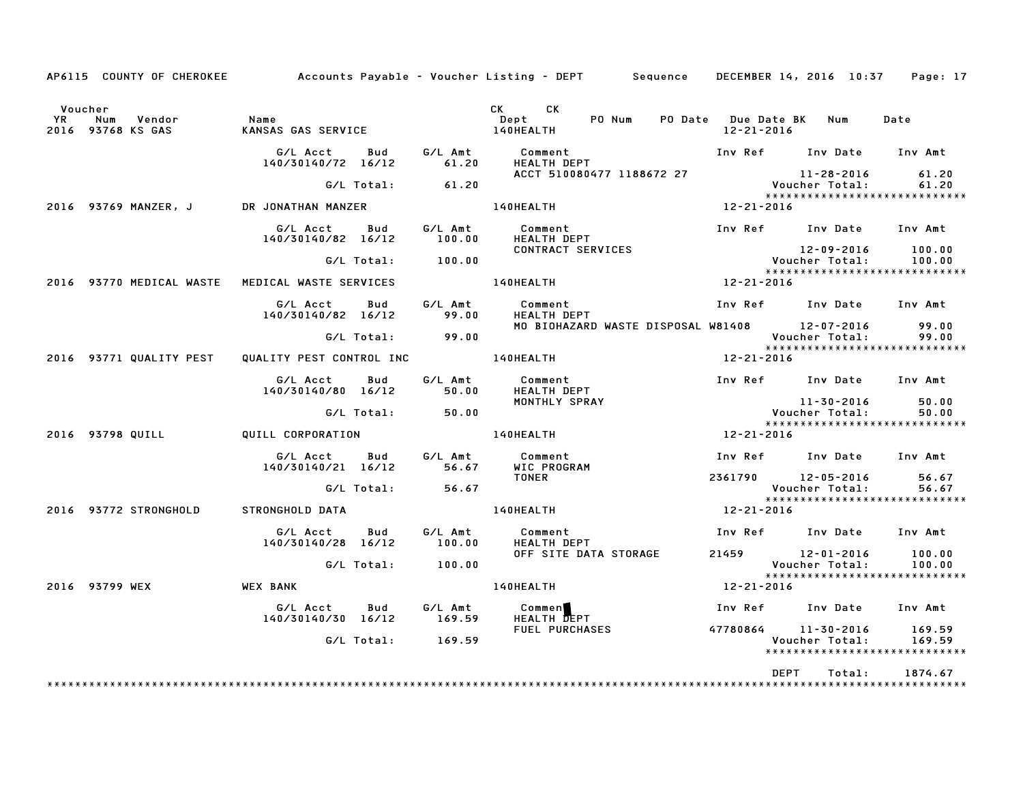|    | AP6115 COUNTY OF CHEROKEE                  |                                                           |                   | Accounts Payable – Voucher Listing – DEPT       Sequence   DECEMBER 14, 2016 10:37   Page: 17 |                                             |                              |                                                   |
|----|--------------------------------------------|-----------------------------------------------------------|-------------------|-----------------------------------------------------------------------------------------------|---------------------------------------------|------------------------------|---------------------------------------------------|
| YR | Voucher<br>Num Vendor<br>2016 93768 KS GAS | Name<br>KANSAS GAS SERVICE                                |                   | CK CK<br>PO Num<br><b>Dept</b><br><b>140HEALTH</b>                                            | PO Date Due Date BK Num<br>$12 - 21 - 2016$ |                              | Date                                              |
|    |                                            | G/L Acct<br><b>Bud</b><br>140/30140/72 16/12              | 61.20             | G/L Amt Comment<br><b>HEALTH DEPT</b>                                                         | Inv Ref Inv Date Inv Amt                    |                              |                                                   |
|    |                                            | G/L Total:                                                | 61.20             | ACCT 510080477 1188672 27                                                                     |                                             |                              |                                                   |
|    | 2016 93769 MANZER, J                       | DR JONATHAN MANZER                                        |                   | <b>140HEALTH</b>                                                                              | 12-21-2016                                  |                              |                                                   |
|    |                                            | G/L Acct Bud                                              |                   |                                                                                               | Inv Ref Inv Date Inv Amt                    |                              |                                                   |
|    |                                            | 140/30140/82 16/12                                        |                   | G/L Amt Comment<br>100.00 HEALTH DER<br>HEALTH DEPT                                           |                                             |                              |                                                   |
|    |                                            | G/L Total:                                                | 100.00            | HEALIN DELI.<br>CONTRACT SERVICES Voucher Total:<br>****************                          |                                             | 12-09-2016                   | 100.00<br>100.00                                  |
|    |                                            | 2016 93770 MEDICAL WASTE MEDICAL WASTE SERVICES           |                   | 140HEALTH                                                                                     | $12 - 21 - 2016$                            |                              | *****************************                     |
|    |                                            | G/L Acct<br>Bud<br>140/30140/82 16/12                     | 99.00             | G/L Amt Comment<br>HEALTH DEPT                                                                | Inv Ref      Inv Date     Inv Amt           |                              |                                                   |
|    |                                            | $G/L$ Total: $99.00$                                      |                   | MO BIOHAZARD WASTE DISPOSAL W81408 12-07-2016                                                 |                                             | Voucher Total:               | 99.00<br>99.00                                    |
|    |                                            | 2016 93771 QUALITY PEST QUALITY PEST CONTROL INC 40HEALTH |                   |                                                                                               | 12-21-2016                                  |                              |                                                   |
|    |                                            | G/L Acct<br>Bud<br>140/30140/80 16/12                     | 50.00             | G/L Amt Comment<br><b>HEALTH DEPT</b>                                                         | Inv Ref Inv Date Inv Amt                    |                              |                                                   |
|    |                                            | G/L Total:                                                | 50.00             | MONTHLY SPRAY                                                                                 |                                             | 11-30-2016<br>Voucher Total: | 50.00<br>50.00<br>*****************************   |
|    | 2016 93798 QUILL                           |                                                           |                   | $12 - 21 - 2016$<br>QUILL CORPORATION <b>140HEALTH</b>                                        |                                             |                              |                                                   |
|    |                                            | G/L Acct Bud<br>140/30140/21 16/12 56.67 WIC PROGRAM      |                   | G/L Amt Comment                                                                               | Inv Ref Inv Date Inv Amt                    |                              |                                                   |
|    |                                            |                                                           |                   | TONER                                                                                         | 2361790 12-05-2016 56.67                    | Voucher Total:               | 56.67<br>*****************************            |
|    | 2016 93772 STRONGHOLD                      | STRONGHOLD DATA                                           |                   | 140HEALTH                                                                                     | 12-21-2016                                  |                              |                                                   |
|    |                                            | G/L Acct<br><b>Bud</b><br>140/30140/28 16/12              | G⁄L Amt<br>100.00 | Comment<br><b>HEALTH DEPT</b>                                                                 | Inv Ref Inv Date Inv Amt                    |                              |                                                   |
|    |                                            | G/L Total:                                                | 100.00            | OFF SITE DATA STORAGE                                                                         | 21459 12-01-2016 100.00                     | Voucher Total:               | 100.00                                            |
|    | 2016 93799 WEX                             | <b>WEX BANK</b>                                           |                   | 140HEALTH                                                                                     | 12-21-2016                                  |                              | *****************************                     |
|    |                                            | G/L Acct Bud<br>140/30140/30 16/12                        |                   | G/L Amt Commen<br>169.59 HEALTH DEP<br>HEALTH DEPT                                            | Inv Ref Inv Date Inv Amt                    |                              |                                                   |
|    |                                            | G/L Total:                                                | 169.59            | FUEL PURCHASES <b>And Allen Contracts</b>                                                     | 47780864 11-30-2016                         | Voucher Total:               | 169.59<br>169.59<br>***************************** |
|    |                                            |                                                           |                   |                                                                                               | DEPT                                        | Total:                       | 1874.67                                           |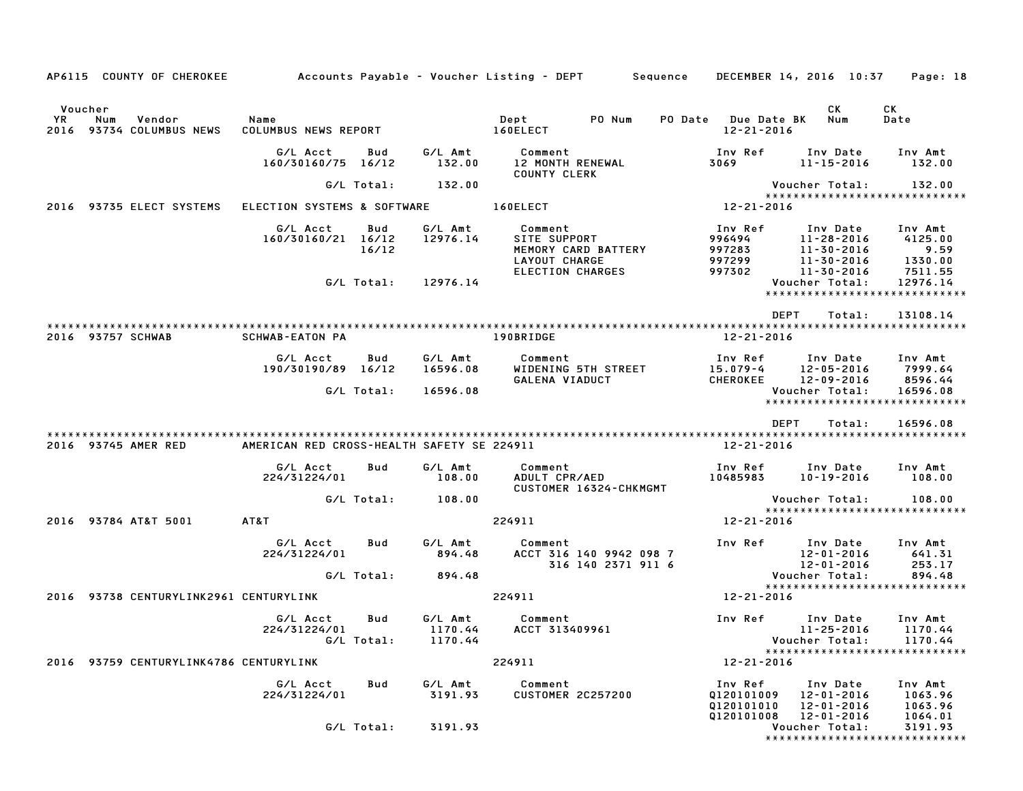| AP6115 COUNTY OF CHEROKEE                                  |                                            |                   |                     | Accounts Payable – Voucher Listing – DEPT         Sequence      |                                                   | DECEMBER 14, 2016 10:37                                       | Page: 18                                 |
|------------------------------------------------------------|--------------------------------------------|-------------------|---------------------|-----------------------------------------------------------------|---------------------------------------------------|---------------------------------------------------------------|------------------------------------------|
| Voucher<br>YR<br>Num<br>Vendor<br>2016 93734 COLUMBUS NEWS | Name<br>COLUMBUS NEWS REPORT               |                   |                     | Dept<br>PO Num<br>160ELECT                                      | PO Date Due Date BK<br>$12 - 21 - 2016$           | CK<br>Num                                                     | СK<br>Date                               |
|                                                            | G/L Acct<br>160/30160/75 16/12             | Bud               | G/L Amt<br>132.00   | Comment<br>12 MONTH RENEWAL<br><b>COUNTY CLERK</b>              | Inv Ref<br>3069                                   | Inv Date<br>11-15-2016                                        | Inv Amt<br>132.00                        |
|                                                            |                                            | G/L Total:        | 132.00              |                                                                 |                                                   | Voucher Total:                                                | 132.00                                   |
| 2016 93735 ELECT SYSTEMS                                   | ELECTION SYSTEMS & SOFTWARE                |                   |                     | 160ELECT                                                        | 12-21-2016                                        | *****************************                                 |                                          |
|                                                            | G/L Acct<br>160/30160/21 16/12             | Bud<br>16/12      | G/L Amt<br>12976.14 | Comment<br>SITE SUPPORT<br>MEMORY CARD BATTERY<br>LAYOUT CHARGE | Inv Ref<br>996494<br>997283<br>997299             | Inv Date<br>11-28-2016<br>$11 - 30 - 2016$<br>11-30-2016      | Inv Amt<br>4125.00<br>9.59<br>1330.00    |
|                                                            |                                            | G/L Total:        | 12976.14            | ELECTION CHARGES                                                | 997302                                            | 11-30-2016<br>Voucher Total:<br>***************************** | 7511.55<br>12976.14                      |
| 2016 93757 SCHWAB                                          | <b>SCHWAB-EATON PA</b>                     |                   |                     | 190BRIDGE                                                       | 12-21-2016                                        | <b>DEPT</b><br>Total:                                         | 13108.14                                 |
|                                                            | G/L Acct<br>190/30190/89 16/12             | Bud               | G/L Amt<br>16596.08 | Comment<br>WIDENING 5TH STREET<br>GALENA VIADUCT                | Inv Ref<br>15.079-4<br>CHEROKEE                   | Inv Date<br>12-05-2016<br>12-09-2016                          | Inv Amt<br>7999.64<br>8596.44            |
|                                                            |                                            | G/L Total:        | 16596.08            |                                                                 |                                                   | Voucher Total:<br>*****************************               | 16596.08                                 |
|                                                            |                                            |                   |                     |                                                                 |                                                   | <b>DEPT</b><br>Total:                                         | 16596.08                                 |
| 2016 93745 AMER RED                                        | AMERICAN RED CROSS-HEALTH SAFETY SE 224911 |                   |                     |                                                                 | 12-21-2016                                        |                                                               |                                          |
|                                                            | G/L Acct<br>224/31224/01                   | Bud               | G/L Amt<br>108.00   | Comment<br>ADULT CPR/AED<br>CUSTOMER 16324-CHKMGMT              | Inv Ref<br>10485983                               | Inv Date<br>10-19-2016                                        | Inv Amt<br>108.00                        |
|                                                            |                                            | G/L Total:        | 108.00              |                                                                 |                                                   | Voucher Total:                                                | 108.00                                   |
| 2016 93784 AT&T 5001                                       | AT&T                                       |                   |                     | 224911                                                          | 12-21-2016                                        | *****************************                                 |                                          |
|                                                            | G/L Acct<br>224/31224/01                   | Bud               | G/L Amt<br>894.48   | Comment<br>ACCT 316 140 9942 098 7<br>316 140 2371 911 6        | Inv Ref                                           | Inv Date<br>12-01-2016<br>12-01-2016                          | Inv Amt<br>641.31<br>253.17              |
|                                                            |                                            | G/L Total:        | 894.48              |                                                                 |                                                   | Voucher Total:<br>*****************************               | 894.48                                   |
| 2016 93738 CENTURYLINK2961 CENTURYLINK                     |                                            |                   |                     | 224911                                                          | 12-21-2016                                        |                                                               |                                          |
|                                                            | G/L Acct<br>224/31224/01                   | Bud<br>G/L Total: | G/L Amt<br>1170.44  | Comment<br>1170.44 ACCT 313409961                               | Inv Ref                                           | Inv Date<br>Voucher Total:<br>*****************************   | Inv Amt<br>11-25-2016 1170.44<br>1170.44 |
| 2016 93759 CENTURYLINK4786 CENTURYLINK                     |                                            |                   |                     | 224911                                                          | $12 - 21 - 2016$                                  |                                                               |                                          |
|                                                            | G/L Acct<br>224/31224/01                   | Bud               | G/L Amt<br>3191.93  | Comment<br><b>CUSTOMER 2C257200</b>                             | Inv Ref<br>0120101009<br>Q120101010<br>Q120101008 | Inv Date<br>12-01-2016<br>12-01-2016<br>12-01-2016            | Inv Amt<br>1063.96<br>1063.96<br>1064.01 |
|                                                            |                                            | G/L Total:        | 3191.93             |                                                                 |                                                   | Voucher Total:<br>*****************************               | 3191.93                                  |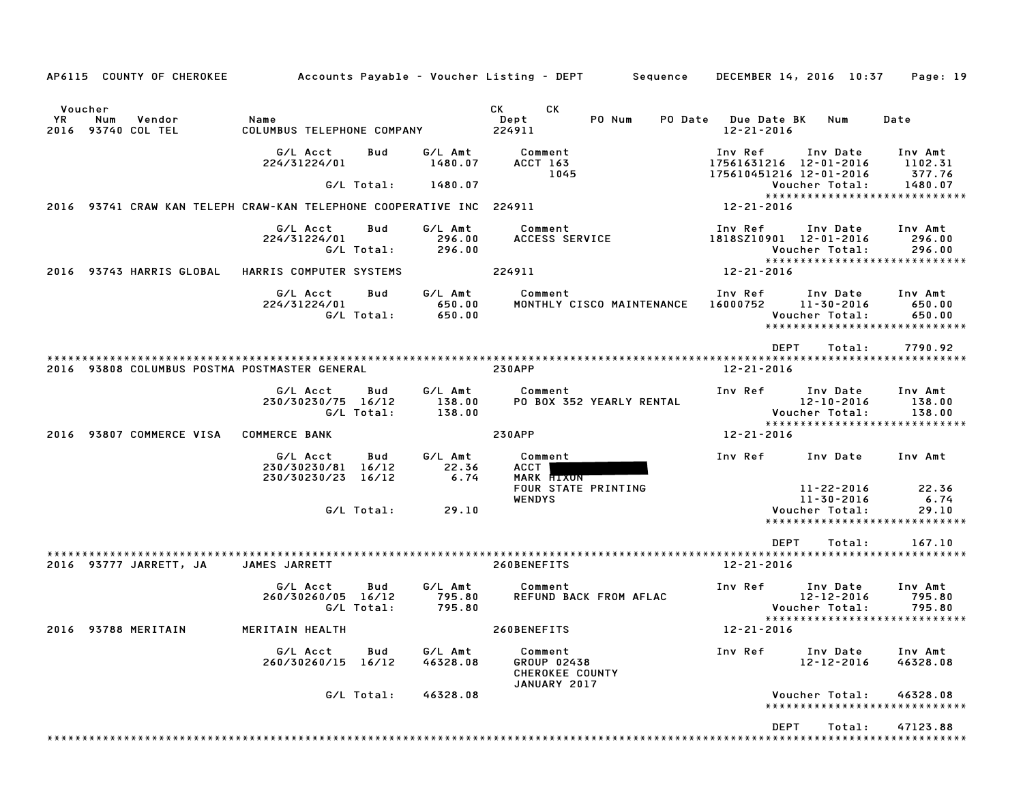|                                 | AP6115 COUNTY OF CHEROKEE |                                                                      |                   |                             | Accounts Payable – Voucher Listing – DEPT       Sequence    | DECEMBER 14, 2016 10:37                                      |                                                | Page: 19                                                     |
|---------------------------------|---------------------------|----------------------------------------------------------------------|-------------------|-----------------------------|-------------------------------------------------------------|--------------------------------------------------------------|------------------------------------------------|--------------------------------------------------------------|
| Voucher                         |                           |                                                                      |                   |                             | <b>CK</b><br>CK D                                           |                                                              |                                                |                                                              |
| YR<br>Num<br>2016 93740 COL TEL | Vendor                    | Name<br>COLUMBUS TELEPHONE COMPANY                                   |                   |                             | Dept<br>PO Num<br>224911                                    | PO Date Due Date BK<br>12-21-2016                            | Num                                            | Date                                                         |
|                                 |                           | G/L Acct<br>224/31224/01                                             | Bud               | G/L Amt<br>1480.07          | Comment<br>ACCT 163<br>1045                                 | Inv Ref<br>17561631216 12-01-2016<br>175610451216 12-01-2016 | Inv Date                                       | Inv Amt<br>1102.31<br>377.76                                 |
|                                 |                           |                                                                      | G/L Total:        | 1480.07                     |                                                             |                                                              | Voucher Total:                                 | 1480.07                                                      |
|                                 |                           | 2016 93741 CRAW KAN TELEPH CRAW-KAN TELEPHONE COOPERATIVE INC 224911 |                   |                             |                                                             | 12-21-2016                                                   |                                                | ******************************                               |
|                                 |                           | G/L Acct<br>224/31224/01                                             | Bud<br>G/L Total: | G/L Amt<br>296.00<br>296.00 | Comment<br>ACCESS SERVICE                                   | Inv Ref<br>1818SZ10901 12-01-2016                            | Inv Date<br>Voucher Total:                     | Inv Amt<br>296.00<br>296.00<br>***************************** |
|                                 | 2016 93743 HARRIS GLOBAL  | HARRIS COMPUTER SYSTEMS                                              |                   |                             | 224911                                                      | 12-21-2016                                                   |                                                |                                                              |
|                                 |                           | G/L Acct<br>224/31224/01                                             | Bud<br>G/L Total: | G/L Amt<br>650.00<br>650.00 | Comment<br>MONTHLY CISCO MAINTENANCE                        | Inv Ref<br>16000752 11-30-2016                               | Inv Date<br>Voucher Total:                     | Inv Amt<br>650.00<br>650.00<br>***************************** |
|                                 |                           |                                                                      |                   |                             |                                                             | <b>DEPT</b>                                                  | Total:                                         | 7790.92                                                      |
|                                 |                           | 2016 93808 COLUMBUS POSTMA POSTMASTER GENERAL                        |                   |                             | <b>230APP</b>                                               | $12 - 21 - 2016$                                             |                                                |                                                              |
|                                 |                           | G/L Acct<br>230/30230/75 16/12                                       | Bud<br>G/L Total: | G/L Amt<br>138.00<br>138.00 | Comment<br>PO BOX 352 YEARLY RENTAL                         | Inv Ref                                                      | Inv Date<br>$12 - 10 - 2016$<br>Voucher Total: | Inv Amt<br>138.00<br>138.00                                  |
| 2016                            | 93807 COMMERCE VISA       | <b>COMMERCE BANK</b>                                                 |                   |                             | <b>230APP</b>                                               | 12-21-2016                                                   |                                                | *****************************                                |
|                                 |                           | G/L Acct<br>230/30230/81 16/12<br>230/30230/23 16/12                 | Bud               | G/L Amt<br>22.36<br>6.74    | Comment<br>ACCT<br>MARK <b>HIXON</b><br>FOUR STATE PRINTING | Inv Ref                                                      | Inv Date<br>11-22-2016                         | Inv Amt<br>22.36                                             |
|                                 |                           |                                                                      | G/L Total:        | 29.10                       | <b>WENDYS</b>                                               |                                                              | 11-30-2016<br>Voucher Total:                   | 6.74<br>29.10<br>*****************************               |
|                                 |                           |                                                                      |                   |                             |                                                             | <b>DEPT</b>                                                  | Total:                                         | 167.10                                                       |
|                                 | 2016 93777 JARRETT, JA    | JAMES JARRETT                                                        |                   |                             | 260BENEFITS                                                 | 12-21-2016                                                   |                                                |                                                              |
|                                 |                           | G/L Acct<br>260/30260/05 16/12                                       | Bud<br>G/L Total: | G/L Amt<br>795.80<br>795.80 | Comment<br>REFUND BACK FROM AFLAC                           | Inv Ref                                                      | Inv Date<br>$12 - 12 - 2016$<br>Voucher Total: | Inv Amt<br>795.80<br>795.80<br>***************************** |
| 2016 93788 MERITAIN             |                           | MERITAIN HEALTH                                                      |                   |                             | 260BENEFITS                                                 | 12-21-2016                                                   |                                                |                                                              |
|                                 |                           | G/L Acct<br>260/30260/15 16/12                                       | Bud               | G/L Amt<br>46328.08         | Comment<br>GROUP 02438<br>CHEROKEE COUNTY<br>JANUARY 2017   | Inv Ref                                                      | Inv Date<br>$12 - 12 - 2016$                   | Inv Amt<br>46328.08                                          |
|                                 |                           |                                                                      | G/L Total:        | 46328.08                    |                                                             |                                                              | Voucher Total:                                 | 46328.08<br>*****************************                    |
|                                 |                           |                                                                      |                   |                             |                                                             | DEPT                                                         | Total:                                         | 47123.88                                                     |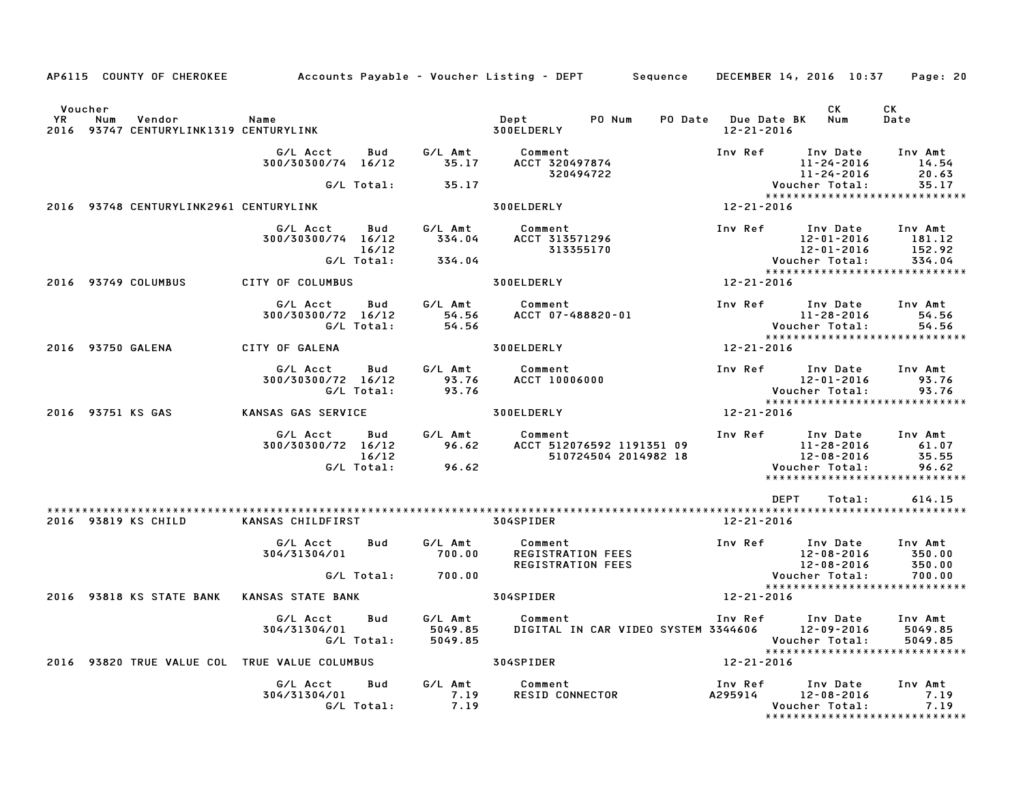|                       |     | AP6115 COUNTY OF CHEROKEE                   | Accounts Payable – Voucher Listing – DEPT         Sequence |                                   |                               |                                                      |                                                   |                                         | DECEMBER 14, 2016 10:37                                                                          | Page: 20                              |
|-----------------------|-----|---------------------------------------------|------------------------------------------------------------|-----------------------------------|-------------------------------|------------------------------------------------------|---------------------------------------------------|-----------------------------------------|--------------------------------------------------------------------------------------------------|---------------------------------------|
| Voucher<br>YR<br>2016 | Num | Vendor<br>93747 CENTURYLINK1319 CENTURYLINK | Name                                                       |                                   |                               | Dept<br>300ELDERLY                                   | PO Num                                            | PO Date Due Date BK<br>$12 - 21 - 2016$ | CK<br>Num                                                                                        | CK<br>Date                            |
|                       |     |                                             | G/L Acct<br>300/30300/74 16/12                             | Bud                               |                               | G/L Amt Comment<br>35.17 ACCT 320497874<br>320494722 |                                                   |                                         | Inv Ref Inv Date<br>11-24-2016<br>11-24-2016                                                     | Inv Amt<br>14.54<br>20.63             |
|                       |     |                                             |                                                            | G/L Total:                        | 35.17                         |                                                      |                                                   |                                         | Voucher Total:<br>*****************************                                                  | 35.17                                 |
|                       |     | 2016 93748 CENTURYLINK2961 CENTURYLINK      |                                                            |                                   |                               | 300ELDERLY                                           |                                                   | $12 - 21 - 2016$                        |                                                                                                  |                                       |
|                       |     |                                             | G/L Acct<br>300/30300/74 16/12                             | <b>Bud</b><br>16/12<br>G/L Total: | G/L Amt<br>334.04<br>334.04   | Comment<br>ACCT 313571296<br>313355170               |                                                   |                                         | Inv Ref Inv Date<br>12-01-2016<br>12-01-2016<br>Voucher Total:                                   | Inv Amt<br>181.12<br>152.92<br>334.04 |
|                       |     | 2016 93749 COLUMBUS                         | CITY OF COLUMBUS                                           |                                   |                               | 300ELDERLY                                           |                                                   | 12-21-2016                              | *****************************                                                                    |                                       |
|                       |     |                                             | G/L Acct<br>300/30300/72 16/12                             | Bud<br>G/L Total:                 | G/L Amt<br>54.56<br>54.56     | Comment<br>ACCT 07-488820-01                         |                                                   |                                         | Inv Ref      Inv Date<br>11-28-2016<br>Voucher Total:                                            | Inv Amt<br>54.56<br>54.56             |
|                       |     | 2016 93750 GALENA                           | CITY OF GALENA                                             |                                   |                               | 300ELDERLY                                           |                                                   | $12 - 21 - 2016$                        | *****************************                                                                    |                                       |
|                       |     |                                             | G/L Acct<br>300/30300/72 16/12                             | Bud<br>G/L Total:                 | G/L Amt<br>93.76<br>93.76     | Comment<br><b>ACCT 10006000</b>                      |                                                   | <b>Inv Ref</b>                          | Inv Date<br>12-01-2016<br>Voucher Total:                                                         | Inv Amt<br>93.76<br>93.76             |
|                       |     | 2016 93751 KS GAS                           | KANSAS GAS SERVICE                                         |                                   |                               | 300ELDERLY                                           |                                                   | 12-21-2016                              | *****************************                                                                    |                                       |
|                       |     |                                             | G/L Acct<br>300/30300/72 16/12                             | Bud<br>16/12<br>G/L Total:        | G/L Amt<br>96.62<br>96.62     | Comment                                              | ACCT 512076592 1191351 09<br>510724504 2014982 18 |                                         | Inv Ref Inv Date<br>11-28-2016<br>12-08-2016<br>Voucher Total:<br>****************************** | Inv Amt<br>61.07<br>35.55<br>96.62    |
|                       |     | 2016 93819 KS CHILD                         | KANSAS CHILDFIRST                                          |                                   |                               | 304SPIDER                                            |                                                   | 12-21-2016                              | <b>DEPT</b><br>Total:                                                                            | 614.15                                |
|                       |     |                                             | G/L Acct<br>304/31304/01                                   | Bud                               | G/L Amt<br>700.00             | Comment<br>REGISTRATION FEES<br>REGISTRATION FEES    |                                                   |                                         | Inv Ref Inv Date<br>$12 - 08 - 2016$<br>$12 - 08 - 2016$                                         | Inv Amt<br>350.00<br>350.00           |
|                       |     |                                             |                                                            | G/L Total:                        | 700.00                        |                                                      |                                                   |                                         | Voucher Total:<br>*****************************                                                  | 700.00                                |
|                       |     | 2016 93818 KS STATE BANK                    | <b>KANSAS STATE BANK</b>                                   |                                   |                               | 304SPIDER                                            |                                                   | 12-21-2016                              |                                                                                                  |                                       |
|                       |     |                                             | G/L Acct<br>304/31304/01                                   | Bud<br>G/L Total:                 | G/L Amt<br>5049.85<br>5049.85 | Comment                                              | DIGITAL IN CAR VIDEO SYSTEM 3344606               | Inv Ref                                 | Inv Date<br>12-09-2016<br>Voucher Total:<br>*****************************                        | Inv Amt<br>5049.85<br>5049.85         |
|                       |     |                                             | 2016 93820 TRUE VALUE COL TRUE VALUE COLUMBUS              |                                   |                               | 304SPIDER                                            |                                                   | 12-21-2016                              |                                                                                                  |                                       |
|                       |     |                                             | G/L Acct<br>304/31304/01                                   | Bud<br>G/L Total:                 | G/L Amt<br>7.19<br>7.19       | Comment<br><b>RESID CONNECTOR</b>                    |                                                   | Inv Ref<br>A295914                      | Inv Date<br>$12 - 08 - 2016$<br>Voucher Total:                                                   | Inv Amt<br>7.19<br>7.19               |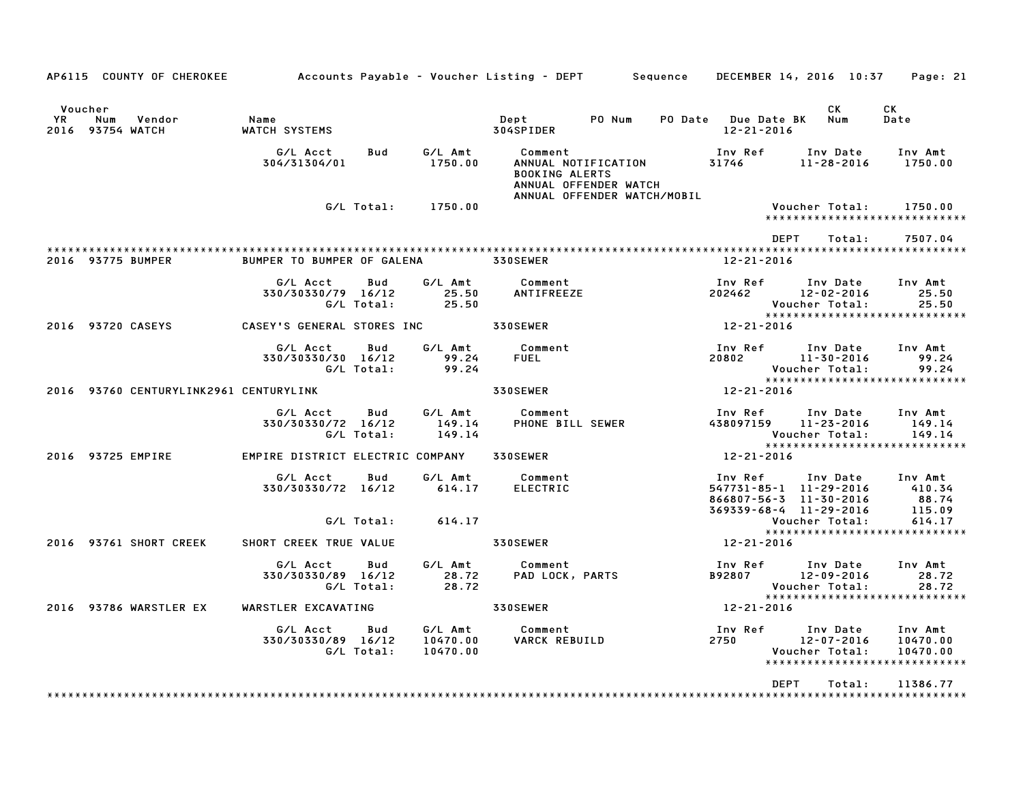|                      | AP6115 COUNTY OF CHEROKEE Accounts Payable – Voucher Listing – DEPT Sequence DECEMBER 14, 2016 10:37 Page: 21 |                                                              |                          |                                 |                                                                                                  |  |                                       |                                                                                                               |                                                                   |
|----------------------|---------------------------------------------------------------------------------------------------------------|--------------------------------------------------------------|--------------------------|---------------------------------|--------------------------------------------------------------------------------------------------|--|---------------------------------------|---------------------------------------------------------------------------------------------------------------|-------------------------------------------------------------------|
| Voucher<br><b>YR</b> | Num<br>Vendor<br>2016 93754 WATCH                                                                             | Name<br>WATCH SYSTEMS                                        |                          |                                 | Dept PONum<br>304SPIDER                                                                          |  | PO Date Due Date BK Num<br>12-21-2016 | CK                                                                                                            | CK<br>Date                                                        |
|                      |                                                                                                               | G/L Acct<br>304/31304/01                                     | <b>Bud</b>               | 1750.00                         | G/L Amt Comment<br><b>BOOKING ALERTS</b><br>ANNUAL OFFENDER WATCH<br>ANNUAL OFFENDER WATCH/MOBIL |  |                                       |                                                                                                               |                                                                   |
|                      |                                                                                                               |                                                              |                          | G/L Total: 1750.00              |                                                                                                  |  |                                       | Voucher Total:                                                                                                | 1750.00<br>******************************                         |
|                      |                                                                                                               |                                                              |                          |                                 |                                                                                                  |  | <b>DEPT</b>                           | Total:                                                                                                        | 7507.04                                                           |
|                      | 2016 93775 BUMPER                                                                                             | BUMPER TO BUMPER OF GALENA 330SEWER                          |                          |                                 |                                                                                                  |  | 12-21-2016                            |                                                                                                               |                                                                   |
|                      |                                                                                                               | G/L Acct<br>330/30330/79 16/12                               | Bud<br>G/L Total:        | 25.50<br>25.50                  | G/L Amt Comment<br>ANTIFREEZE                                                                    |  |                                       | Inv Ref       Inv Date     Inv Amt<br>202462              12-02-2016                  25.50<br>Voucher Total: | 25.50<br>25.50                                                    |
|                      | 2016 93720 CASEYS                                                                                             | CASEY'S GENERAL STORES INC 330SEWER                          |                          |                                 |                                                                                                  |  | $12 - 21 - 2016$                      |                                                                                                               | *****************************                                     |
|                      |                                                                                                               | G/L Acct Bud<br>330/30330/30 16/12 99.24<br>G/L Total: 99.24 |                          |                                 | G/L Amt Comment<br><b>FUEL</b>                                                                   |  | 20802 11-30-2016                      | Inv Ref Inv Date Inv Amt<br>Voucher Total:                                                                    | 99.24<br>99.24                                                    |
|                      | 2016 93760 CENTURYLINK2961 CENTURYLINK                                                                        |                                                              |                          |                                 | <b>330SEWER</b>                                                                                  |  | 12-21-2016                            |                                                                                                               | *****************************                                     |
|                      |                                                                                                               | G/L Acct<br>330/30330/72 16/12                               | <b>Bud</b><br>G/L Total: | G/L Amt<br>149.14<br>149.14     | Comment<br>PHONE BILL SEWER                                                                      |  | 438097159 11-23-2016                  | Inv Ref Inv Date<br>Voucher Total:                                                                            | Inv Amt<br>149.14<br>149.14                                       |
|                      | 2016 93725 EMPIRE                                                                                             | EMPIRE DISTRICT ELECTRIC COMPANY 330SEWER                    |                          |                                 |                                                                                                  |  | 12-21-2016                            |                                                                                                               | ******************************                                    |
|                      |                                                                                                               | G/L Acct Bud<br>330/30330/72 16/12 614.17                    |                          | G/L Amt                         | Comment<br>ELECTRIC                                                                              |  | 369339-68-4 11-29-2016                | Inv Ref      Inv Date     Inv Amt<br>547731-85-1   11-29-2016        410.34<br>866807-56-3 11-30-2016         | 88.74<br>115.09                                                   |
|                      |                                                                                                               |                                                              | G/L Total:               | 614.17                          |                                                                                                  |  |                                       | Voucher Total:                                                                                                | 614.17<br>*****************************                           |
|                      | 2016 93761 SHORT CREEK                                                                                        | SHORT CREEK TRUE VALUE                                       |                          |                                 | <b>330SEWER</b>                                                                                  |  | 12-21-2016                            |                                                                                                               |                                                                   |
|                      |                                                                                                               | G/L Acct<br>330/30330/89 16/12                               | Bud<br>G/L Total:        | G/L Amt<br>28.72<br>28.72       | Comment<br>Comment<br>PAD LOCK, PARTS                                                            |  | B92807 12-09-2016                     | Inv Ref      Inv Date     Inv Amt<br>Voucher Total:                                                           | 28.72<br>28.72                                                    |
|                      | 2016 93786 WARSTLER EX                                                                                        | WARSTLER EXCAVATING                                          |                          |                                 | <b>330SEWER</b>                                                                                  |  | 12-21-2016                            |                                                                                                               | ******************************                                    |
|                      |                                                                                                               | G/L Acct   Bud<br>330/30330/89 16/12                         | G/L Total:               | G/L Amt<br>10470.00<br>10470.00 | Comment<br>VARCK REBUILD                                                                         |  | Inv Ref<br>2750 12-07-2016            | Inv Date<br>Voucher Total:                                                                                    | Inv Amt<br>10470.00<br>10470.00<br>****************************** |
|                      |                                                                                                               |                                                              |                          |                                 |                                                                                                  |  | <b>DEPT</b>                           | Total:                                                                                                        | 11386.77                                                          |